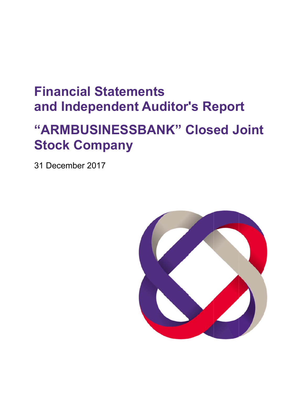# **Financial Statements and Independent Auditor's Report**

# **" "ARM MBU USINE ESSB BAN K" C los ed J ointStock Company**

31 December 2017

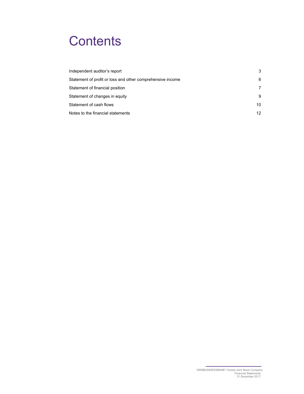# **Contents**

| Independent auditor's report                               | 3  |
|------------------------------------------------------------|----|
| Statement of profit or loss and other comprehensive income | 6  |
| Statement of financial position                            | 7  |
| Statement of changes in equity                             | 9  |
| Statement of cash flows                                    | 10 |
| Notes to the financial statements                          | 12 |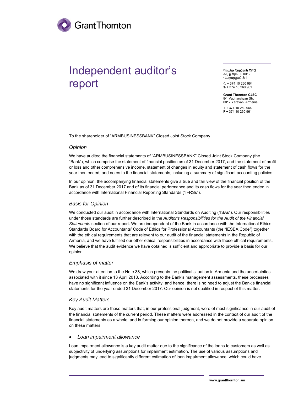

## Independent auditor's report

 Գրանթ Թո րնթոն ՓԲԸ ՀՀ, ք.Երևա ան 0012

Վաղարշյան 8/1 Հ. + 374 10 0 260 964 <sup>Ֆ</sup>.+ 374 10 0 260 961

**Grant Thornton CJSC** 8/1 Vagharshyan Str. 0012 Yerevan, Armenia T + 374 10 0 260 964 F + 374 10 0 260 961

To the shareholder of "ARMBUSINESSBANK" Closed Joint Stock Company

### *Opinion*

We have audited the financial statements of "ARMBUSINESSBANK" Closed Joint Stock Company (the "Bank"), which comprise the statement of financial position as of 31 December 2017, and the statement of profit or loss and other comprehensive income, statement of changes in equity and statement of cash flows for the year then ended, and notes to the financial statements, including a summary of significant accounting policies.

In our opinion, the accompanying financial statements give a true and fair view of the financial position of the Bank as of 31 December 2017 and of its financial performance and its cash flows for the year then ended in accordance with International Financial Reporting Standards ("IFRSs").

## **Basis for Opinion**

We conducted our audit in accordance with International Standards on Auditing ("ISAs"). Our responsibilities under those standards are further described in the Auditor's Responsibilities for the Audit of the Financial Statements section of our report. We are independent of the Bank in accordance with the International Ethics Standards Board for Accountants' Code of Ethics for Professional Accountants (the "IESBA Code") together with the ethical requirements that are relevant to our audit of the financial statements in the Republic of Armenia, and we have fulfilled our other ethical responsibilities in accordance with those ethical requirements. We believe that the audit evidence we have obtained is sufficient and appropriate to provide a basis for our opinion.

## Emphasis of matter

We draw your attention to the Note 38, which presents the political situation in Armenia and the uncertainties associated with it since 13 April 2018. According to the Bank's management assessments, these processes have no significant influence on the Bank's activity, and hence, there is no need to adjust the Bank's financial statements for the year ended 31 December 2017. Our opinion is not qualified in respect of this matter.

### **Key Audit Matters**

Key audit matters are those matters that, in our professional judgment, were of most significance in our audit of the financial statements of the current period. These matters were addressed in the context of our audit of the financial statements as a whole, and in forming our opinion thereon, and we do not provide a separate opinion on these m matters.

#### **•** Loan impairment allowance

Loan impairment allowance is a key audit matter due to the significance of the loans to customers as well as subjectivity of underlying assumptions for impairment estimation. The use of various assumptions and judgments may lead to significantly different estimation of loan impairment allowance, which could have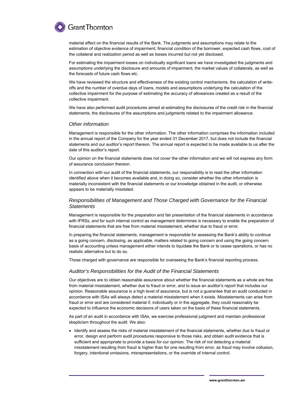

material effect on the financial results of the Bank. The judgments and assumptions may relate to the estimation of objective evidence of impairment, financial condition of the borrower, expected cash flows, cost of the collateral and realization period as well as losses incurred but not yet disclosed.

For estimating the impairment losses on individually significant loans we have investigated the judgments and assumptions underlying the disclosure and amounts of impairment, the market values of collaterals, as well as the forecasts of future cash flows etc.

We have reviewed the structure and effectiveness of the existing control mechanisms, the calculation of writeoffs and the number of overdue days of loans, models and assumptions underlying the calculation of the collective impairment for the purpose of estimating the accuracy of allowances created as a result of the collective impairment.

We have also performed audit procedures aimed at estimating the disclosures of the credit risk in the financial statements, the disclosures of the assumptions and judgments related to the impairment allowance.

#### *Other information*

Management is responsible for the other information. The other information comprises the information included in the annual report of the Company for the year ended 31 December 2017, but does not include the financial statements and our auditor's report thereon. The annual report is expected to be made available to us after the date of this auditor's report.

Our opinion on the financial statements does not cover the other information and we will not express any form of assurance conclusion thereon.

In connection with our audit of the financial statements, our responsibility is to read the other information identified above when it becomes available and, in doing so, consider whether the other information is materially inconsistent with the financial statements or our knowledge obtained in the audit, or otherwise appears to be materially misstated.

### *Responsibilities of Management and Those Charged with Governance for the Financial Statements*

Management is responsible for the preparation and fair presentation of the financial statements in accordance with IFRSs, and for such internal control as management determines is necessary to enable the preparation of financial statements that are free from material misstatement, whether due to fraud or error.

In preparing the financial statements, management is responsible for assessing the Bank's ability to continue as a going concern, disclosing, as applicable, matters related to going concern and using the going concern basis of accounting unless management either intends to liquidate the Bank or to cease operations, or has no realistic alternative but to do so.

Those charged with governance are responsible for overseeing the Bank's financial reporting process.

#### *Auditor's Responsibilities for the Audit of the Financial Statements*

Our objectives are to obtain reasonable assurance about whether the financial statements as a whole are free from material misstatement, whether due to fraud or error, and to issue an auditor's report that includes our opinion. Reasonable assurance is a high level of assurance, but is not a guarantee that an audit conducted in accordance with ISAs will always detect a material misstatement when it exists. Misstatements can arise from fraud or error and are considered material if, individually or in the aggregate, they could reasonably be expected to influence the economic decisions of users taken on the basis of these financial statements.

As part of an audit in accordance with ISAs, we exercise professional judgment and maintain professional skepticism throughout the audit. We also:

 Identify and assess the risks of material misstatement of the financial statements, whether due to fraud or error, design and perform audit procedures responsive to those risks, and obtain audit evidence that is sufficient and appropriate to provide a basis for our opinion. The risk of not detecting a material misstatement resulting from fraud is higher than for one resulting from error, as fraud may involve collusion, forgery, intentional omissions, misrepresentations, or the override of internal control.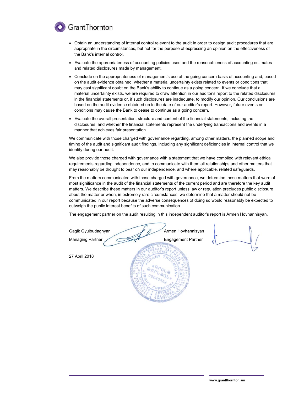

- Obtain an understanding of internal control relevant to the audit in order to design audit procedures that are appropriate in the circumstances, but not for the purpose of expressing an opinion on the effectiveness of the Bank's internal control.
- Evaluate the appropriateness of accounting policies used and the reasonableness of accounting estimates and related disclosures made by management.
- Conclude on the appropriateness of management's use of the going concern basis of accounting and, based on the audit evidence obtained, whether a material uncertainty exists related to events or conditions that may cast significant doubt on the Bank's ability to continue as a going concern. If we conclude that a material uncertainty exists, we are required to draw attention in our auditor's report to the related disclosures in the financial statements or, if such disclosures are inadequate, to modify our opinion. Our conclusions are based on the audit evidence obtained up to the date of our auditor's report. However, future events or conditions may cause the Bank to cease to continue as a going concern.
- Evaluate the overall presentation, structure and content of the financial statements, including the disclosures, and whether the financial statements represent the underlying transactions and events in a manner that achieves fair presentation.

We communicate with those charged with governance regarding, among other matters, the planned scope and timing of the audit and significant audit findings, including any significant deficiencies in internal control that we identify du ring our audit.

identify during our audit.<br>We also provide those charged with governance with a statement that we have complied with relevant ethical requirements regarding independence, and to communicate with them all relationships and other matters that may reasonably be thought to bear on our independence, and where applicable, related safeguards.

From the matters communicated with those charged with governance, we determine those matters that were of most significance in the audit of the financial statements of the current period and are therefore the key audit matters. We describe these matters in our auditor's report unless law or regulation precludes public disclosure about the matter or when, in extremely rare circumstances, we determine that a matter should not be communicated in our report because the adverse consequences of doing so would reasonably be expected to outweigh the public interest benefits of such communication.

The engagement partner on the audit resulting in this independent auditor's report is Armen Hovhannisyan.

Gagik Gyulbudaghyan Managing Partner 27 April 2018 Armen Hovha annisyan Engagement Partner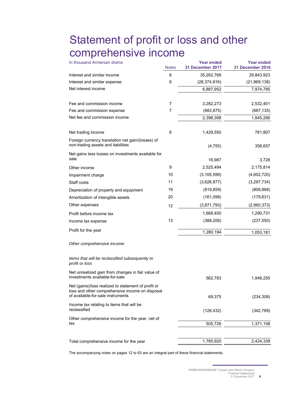## Statement of profit or loss and other comprehensive income

| In thousand Armenian drams                                                                                                                  | <b>Notes</b> | <b>Year ended</b><br>31 December 2017 | <b>Year ended</b><br><b>31 December 2016</b> |
|---------------------------------------------------------------------------------------------------------------------------------------------|--------------|---------------------------------------|----------------------------------------------|
| Interest and similar income                                                                                                                 | 6            | 35,262,768                            | 29,843,923                                   |
| Interest and similar expense                                                                                                                | 6            | (28, 374, 816)                        | (21, 869, 138)                               |
| Net interest income                                                                                                                         |              | 6,887,952                             | 7,974,785                                    |
| Fee and commission income                                                                                                                   | 7            | 3,282,273                             | 2,532,401                                    |
| Fee and commission expense                                                                                                                  | 7            | (883, 875)                            | (687, 135)                                   |
| Net fee and commission income                                                                                                               |              | 2,398,398                             | 1,845,266                                    |
| Net trading income                                                                                                                          | 8            | 1,429,550                             | 781,807                                      |
| Foreign currency translation net gain/(losses) of<br>non-trading assets and liabilities                                                     |              | (4, 755)                              | 358,657                                      |
| Net gains less losses on investments available for<br>sale                                                                                  |              |                                       |                                              |
|                                                                                                                                             |              | 16,987                                | 3.728                                        |
| Other income                                                                                                                                | 9<br>10      | 2,525,494<br>(3, 105, 599)            | 2,175,814<br>(4,602,720)                     |
| Impairment charge                                                                                                                           | 11           | (3,626,877)                           | (3,297,734)                                  |
| Staff costs                                                                                                                                 | 19           | (819, 859)                            | (808, 868)                                   |
| Depreciation of property and equipment<br>Amortization of intangible assets                                                                 | 20           | (161,098)                             | (179, 631)                                   |
| Other expenses                                                                                                                              |              | (3,871,793)                           | (2,960,373)                                  |
|                                                                                                                                             | 12           |                                       |                                              |
| Profit before income tax                                                                                                                    | 13           | 1,668,400                             | 1,290,731                                    |
| Income tax expense                                                                                                                          |              | (388, 206)                            | (237, 550)                                   |
| Profit for the year                                                                                                                         |              | 1,280,194                             | 1,053,181                                    |
| Other comprehensive income:                                                                                                                 |              |                                       |                                              |
| Items that will be reclassified subsequently to<br>profit or loss                                                                           |              |                                       |                                              |
| Net unrealized gain from changes in fair value of<br>investments available-for-sale                                                         |              | 562,783                               | 1.948.255                                    |
| Net (gains)/loss realized to statement of profit or<br>loss and other comprehensive income on disposal<br>of available-for-sale instruments |              | 69,375                                | (234, 308)                                   |
| Income tax relating to items that will be<br>reclassified                                                                                   |              | (126, 432)                            | (342, 789)                                   |
| Other comprehensive income for the year, net of<br>tax                                                                                      |              | 505,726                               | 1,371,158                                    |
|                                                                                                                                             |              |                                       |                                              |
| Total comprehensive income for the year                                                                                                     |              | 1,785,920                             | 2,424,339                                    |

The accompanying notes on pages 12 to 63 are an integral part of these financial statements.

<sup>&</sup>quot;ARMBUSINESSBANK" Closed Joint Stock Company Financial Statements 31 December 2017 **6**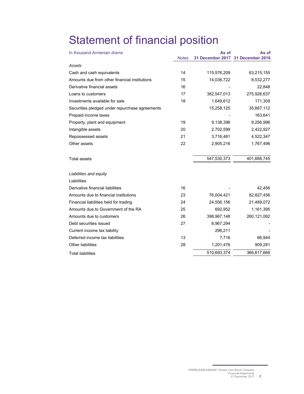# Statement of financial position

| In thousand Armenian drams                     |              | As of       | As of                             |
|------------------------------------------------|--------------|-------------|-----------------------------------|
|                                                | <b>Notes</b> |             | 31 December 2017 31 December 2016 |
| Assets                                         |              |             |                                   |
| Cash and cash equivalents                      | 14           | 115,576,209 | 63,215,155                        |
| Amounts due from other financial institutions  | 15           | 14,036,722  | 8,532,277                         |
| Derivative financial assets                    | 16           |             | 22,848                            |
| Loans to customers                             | 17           | 382,547,013 | 275,926,637                       |
| Investments available for sale                 | 18           | 1,649,612   | 171,309                           |
| Securities pledged under repurchase agreements |              | 15,258,125  | 35,667,112                        |
| Prepaid income taxes                           |              |             | 163,641                           |
| Property, plant and equipment                  | 19           | 9,138,396   | 9,256,996                         |
| Intangible assets                              | 20           | 2,702,599   | 2,422,927                         |
| Repossessed assets                             | 21           | 3,716,481   | 4,522,347                         |
| Other assets                                   | 22           | 2,905,216   | 1,767,496                         |
| <b>Total assets</b>                            |              | 547,530,373 | 401,668,745                       |
| Liabilities and equity                         |              |             |                                   |
| Liabilities                                    |              |             |                                   |
| Derivative financial liabilities               | 16           |             | 42,456                            |
| Amounts due to financial institutions          | 23           | 76,004,421  | 82,827,456                        |
| Financial liabilities held for trading         | 24           | 24,556,156  | 21,489,072                        |
| Amounts due to Government of the RA            | 25           | 692,952     | 1,161,395                         |
| Amounts due to customers                       | 26           | 398,967,148 | 260,121,062                       |
| Debt securities issued                         | 27           | 8,967,294   |                                   |
| Current income tax liability                   |              | 296,211     |                                   |
| Deferred income tax liabilities                | 13           | 7,716       | 66,944                            |
| <b>Other liabilities</b>                       | 28           | 1,201,476   | 909,281                           |
| <b>Total liabilities</b>                       |              | 510,693,374 | 366,617,666                       |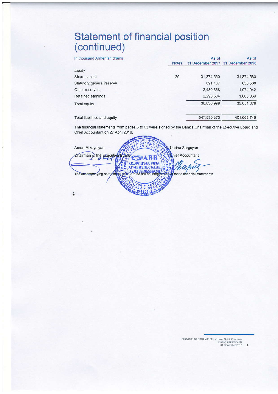## Statement of financial position (continued)

| In thousand Armenian drams   |              | As of                             | As of       |
|------------------------------|--------------|-----------------------------------|-------------|
|                              | <b>Notes</b> | 31 December 2017 31 December 2016 |             |
| Equity                       |              |                                   |             |
| Share capital                | 29           | 31,374,560                        | 31,374,560  |
| Statutory general reserve    |              | 691,167                           | 638,508     |
| Other reserves               |              | 2,480,668                         | 1,974,942   |
| Retained earnings            |              | 2,290,604                         | 1,063,069   |
| Total equity                 |              | 36,836,999                        | 35,051,079  |
| Total liabilities and equity |              | 547,530,373                       | 401.668.745 |

The financial statements from pages 6 to 63 were signed by the Bank's Chairman of the Executive Board and Chief Accountant on 27 April 2018.

| Arsen Mikayelyan          | Narine Sargsyan                                        |
|---------------------------|--------------------------------------------------------|
| Chairman of the Executive | hief Accountant                                        |
|                           | <b>ՀԱՅՈՒԶՆԵՍԲԱՆԿ</b>                                   |
| The accompanying notes on | these financial statements.<br>63 are an integratinary |
|                           |                                                        |
|                           |                                                        |
|                           |                                                        |

"ARMBUSINESSBANK" Closed Joint Stock Company<br>Financial Statements<br>31 December 2017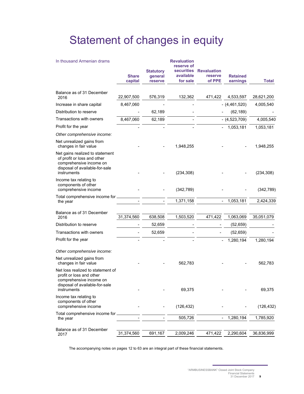# Statement of changes in equity

| In thousand Armenian drams                                                                                                                 | <b>Share</b><br>capital | <b>Statutory</b><br>general<br>reserve | <b>Revaluation</b><br>reserve of<br>available<br>for sale | securities Revaluation<br>reserve<br>of PPE | <b>Retained</b><br>earnings           | <b>Total</b> |
|--------------------------------------------------------------------------------------------------------------------------------------------|-------------------------|----------------------------------------|-----------------------------------------------------------|---------------------------------------------|---------------------------------------|--------------|
| Balance as of 31 December<br>2016                                                                                                          | 22,907,500              | 576,319                                | 132,362                                                   | 471,422                                     | 4,533,597                             | 28,621,200   |
| Increase in share capital                                                                                                                  | 8,467,060               |                                        |                                                           |                                             | $-$ (4,461,520)                       | 4,005,540    |
| Distribution to reserve                                                                                                                    |                         | 62,189                                 |                                                           |                                             | (62, 189)                             |              |
| Transactions with owners                                                                                                                   | 8,467,060               | 62,189                                 |                                                           |                                             | $-$ (4,523,709)                       | 4,005,540    |
| Profit for the year                                                                                                                        |                         |                                        |                                                           |                                             | 1,053,181<br>$\overline{\phantom{a}}$ | 1,053,181    |
| Other comprehensive income:                                                                                                                |                         |                                        |                                                           |                                             |                                       |              |
| Net unrealized gains from<br>changes in fair value                                                                                         |                         |                                        | 1,948,255                                                 |                                             |                                       | 1,948,255    |
| Net gains realized to statement<br>of profit or loss and other<br>comprehensive income on<br>disposal of available-for-sale<br>instruments |                         |                                        | (234, 308)                                                |                                             |                                       | (234, 308)   |
| Income tax relating to<br>components of other<br>comprehensive income                                                                      |                         |                                        | (342, 789)                                                |                                             |                                       | (342, 789)   |
| Total comprehensive income for<br>the year                                                                                                 |                         |                                        | 1,371,158                                                 | $\qquad \qquad \blacksquare$                | 1,053,181                             | 2,424,339    |
|                                                                                                                                            |                         |                                        |                                                           |                                             |                                       |              |
| Balance as of 31 December<br>2016                                                                                                          | 31,374,560              | 638,508                                | 1,503,520                                                 | 471,422                                     | 1,063,069                             | 35,051,079   |
| Distribution to reserve                                                                                                                    |                         | 52,659                                 |                                                           |                                             | (52, 659)                             |              |
| Transactions with owners                                                                                                                   |                         | 52,659                                 |                                                           |                                             | (52, 659)                             |              |
| Profit for the year                                                                                                                        |                         |                                        |                                                           | $\overline{\phantom{0}}$                    | 1,280,194                             | 1,280,194    |
| Other comprehensive income:                                                                                                                |                         |                                        |                                                           |                                             |                                       |              |
| Net unrealized gains from<br>changes in fair value                                                                                         |                         |                                        | 562,783                                                   |                                             |                                       | 562,783      |
| Net loss realized to statement of<br>profit or loss and other<br>comprehensive income on<br>disposal of available-for-sale<br>instruments  |                         |                                        | 69,375                                                    |                                             |                                       | 69,375       |
| Income tax relating to<br>components of other<br>comprehensive income                                                                      |                         |                                        | (126, 432)                                                |                                             |                                       | (126, 432)   |
| Total comprehensive income for<br>the year                                                                                                 |                         |                                        | 505,726                                                   | $\overline{\phantom{a}}$                    | 1,280,194                             | 1,785,920    |
| Balance as of 31 December<br>2017                                                                                                          | 31,374,560              | 691,167                                | 2,009,246                                                 | 471,422                                     | 2,290,604                             | 36,836,999   |

The accompanying notes on pages 12 to 63 are an integral part of these financial statements.

<sup>&</sup>quot;ARMBUSINESSBANK" Closed Joint Stock Company Financial Statements 31 December 2017 **9**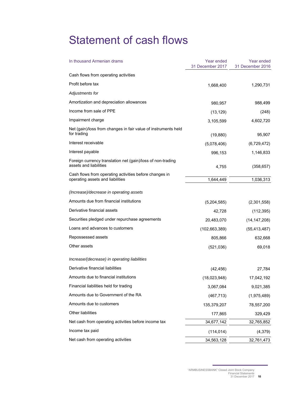## Statement of cash flows

| In thousand Armenian drams                                                                 | Year ended<br>31 December 2017 | Year ended<br>31 December 2016 |
|--------------------------------------------------------------------------------------------|--------------------------------|--------------------------------|
| Cash flows from operating activities                                                       |                                |                                |
| Profit before tax                                                                          | 1,668,400                      | 1,290,731                      |
| Adjustments for                                                                            |                                |                                |
| Amortization and depreciation allowances                                                   | 980,957                        | 988,499                        |
| Income from sale of PPE                                                                    | (13, 129)                      | (248)                          |
| Impairment charge                                                                          | 3,105,599                      | 4,602,720                      |
| Net (gain)/loss from changes in fair value of instruments held<br>for trading              | (19, 880)                      | 95,907                         |
| Interest receivable                                                                        | (5,078,406)                    | (6,729,472)                    |
| Interest payable                                                                           | 996,153                        | 1,146,833                      |
| Foreign currency translation net (gain)/loss of non-trading<br>assets and liabilities      | 4,755                          | (358, 657)                     |
| Cash flows from operating activities before changes in<br>operating assets and liabilities | 1,644,449                      | 1,036,313                      |
| (Increase)/decrease in operating assets                                                    |                                |                                |
| Amounts due from financial institutions                                                    | (5,204,585)                    | (2,301,558)                    |
| Derivative financial assets                                                                | 42,728                         | (112, 395)                     |
| Securities pledged under repurchase agreements                                             | 20,483,070                     | (14, 147, 208)                 |
| Loans and advances to customers                                                            | (102, 663, 389)                | (55, 413, 487)                 |
| Repossessed assets                                                                         | 805,866                        | 632,668                        |
| Other assets                                                                               | (521, 036)                     | 69,018                         |
| Increase/(decrease) in operating liabilities                                               |                                |                                |
| Derivative financial liabilities                                                           | (42, 456)                      | 27,784                         |
| Amounts due to financial institutions                                                      | (18,023,948)                   | 17,042,192                     |
| Financial liabilities held for trading                                                     | 3,067,084                      | 9,021,385                      |
| Amounts due to Government of the RA                                                        | (467, 713)                     | (1,975,489)                    |
| Amounts due to customers                                                                   | 135,379,207                    | 78,557,200                     |
| Other liabilities                                                                          | 177,865                        | 329,429                        |
| Net cash from operating activities before income tax                                       | 34,677,142                     | 32,765,852                     |
| Income tax paid                                                                            | (114, 014)                     | (4, 379)                       |
| Net cash from operating activities                                                         | 34,563,128                     | 32,761,473                     |

"ARMBUSINESSBANK" Closed Joint Stock Company Financial Statements 31 December 2017 **10**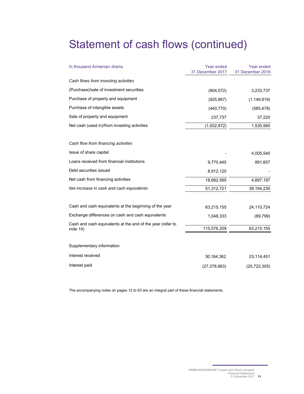## Statement of cash flows (continued)

| In thousand Armenian drams                                               | Year ended<br>31 December 2017 | Year ended<br>31 December 2016 |
|--------------------------------------------------------------------------|--------------------------------|--------------------------------|
| Cash flows from investing activities                                     |                                |                                |
| (Purchase)/sale of investment securities                                 | (804, 072)                     | 3,233,737                      |
| Purchase of property and equipment                                       | (925, 867)                     | (1, 149, 919)                  |
| Purchase of intangible assets                                            | (440, 770)                     | (585, 478)                     |
| Sale of property and equipment                                           | 237,737                        | 37,220                         |
| Net cash (used in)/from investing activities                             | (1,932,972)                    | 1,535,560                      |
| Cash flow from financing activities                                      |                                |                                |
| Issue of share capital                                                   |                                | 4,005,540                      |
| Loans received from financial institutions                               | 9,770,445                      | 891,657                        |
| Debt securities issued                                                   | 8,912,120                      |                                |
| Net cash from financing activities                                       | 18,682,565                     | 4,897,197                      |
| Net increase in cash and cash equivalents                                | 51,312,721                     | 39,194,230                     |
| Cash and cash equivalents at the beginning of the year                   | 63,215,155                     | 24,110,724                     |
| Exchange differences on cash and cash equivalents                        | 1,048,333                      | (89, 799)                      |
| Cash and cash equivalents at the end of the year (refer to<br>note $14)$ | 115,576,209                    | 63,215,155                     |
| Supplementary information:                                               |                                |                                |
| Interest received                                                        | 30,184,362                     | 23,114,451                     |
| Interest paid                                                            | (27, 378, 663)                 | (20, 722, 305)                 |

The accompanying notes on pages 12 to 63 are an integral part of these financial statements.

<sup>&</sup>quot;ARMBUSINESSBANK" Closed Joint Stock Company Financial Statements 31 December 2017 **11**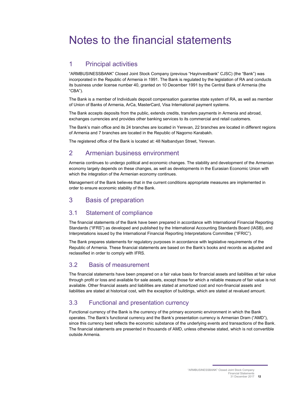## Notes to the financial statements

## 1 Principal activities

"ARMBUSINESSBANK" Closed Joint Stock Company (previous "Hayinvestbank" CJSC) (the "Bank") was incorporated in the Republic of Armenia in 1991. The Bank is regulated by the legislation of RA and conducts its business under license number 40, granted on 10 December 1991 by the Central Bank of Armenia (the "CBA").

The Bank is a member of Individuals deposit compensation guarantee state system of RA, as well as member of Union of Banks of Armenia, ArCa, MasterCard, Visa International payment systems.

The Bank accepts deposits from the public, extends credits, transfers payments in Armenia and abroad, exchanges currencies and provides other banking services to its commercial and retail customers.

The Bank's main office and its 24 branches are located in Yerevan, 22 branches are located in different regions of Armenia and 7 branches are located in the Republic of Nagorno Karabakh.

The registered office of the Bank is located at: 48 Nalbandyan Street, Yerevan.

## 2 Armenian business environment

Armenia continues to undergo political and economic changes. The stability and development of the Armenian economy largely depends on these changes, as well as developments in the Eurasian Economic Union with which the integration of the Armenian economy continues.

Management of the Bank believes that in the current conditions appropriate measures are implemented in order to ensure economic stability of the Bank.

## 3 Basis of preparation

## 3.1 Statement of compliance

The financial statements of the Bank have been prepared in accordance with International Financial Reporting Standards ("IFRS") as developed and published by the International Accounting Standards Board (IASB), and Interpretations issued by the International Financial Reporting Interpretations Committee ("IFRIC").

The Bank prepares statements for regulatory purposes in accordance with legislative requirements of the Republic of Armenia. These financial statements are based on the Bank's books and records as adjusted and reclassified in order to comply with IFRS.

## 3.2 Basis of measurement

The financial statements have been prepared on a fair value basis for financial assets and liabilities at fair value through profit or loss and available for sale assets, except those for which a reliable measure of fair value is not available. Other financial assets and liabilities are stated at amortized cost and non-financial assets and liabilities are stated at historical cost, with the exception of buildings, which are stated at revalued amount.

## 3.3 Functional and presentation currency

Functional currency of the Bank is the currency of the primary economic environment in which the Bank operates. The Bank's functional currency and the Bank's presentation currency is Armenian Dram ("AMD"), since this currency best reflects the economic substance of the underlying events and transactions of the Bank. The financial statements are presented in thousands of AMD, unless otherwise stated, which is not convertible outside Armenia.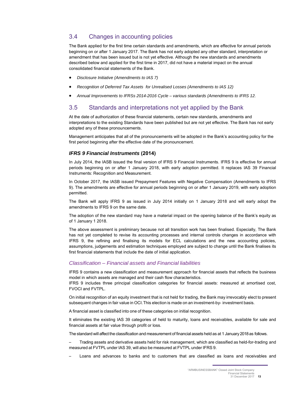## 3.4 Changes in accounting policies

The Bank applied for the first time certain standards and amendments, which are effective for annual periods beginning on or after 1 January 2017. The Bank has not early adopted any other standard, interpretation or amendment that has been issued but is not yet effective. Although the new standards and amendments described below and applied for the first time in 2017, did not have a material impact on the annual consolidated financial statements of the Bank.

- *Disclosure Initiative (Amendments to IAS 7)*
- *Recognition of Deferred Tax Assets for Unrealised Losses (Amendments to IAS 12)*
- *Annual Improvements to IFRSs 2014-2016 Cycle various standards (Amendments to IFRS 12.*

## 3.5 Standards and interpretations not yet applied by the Bank

At the date of authorization of these financial statements, certain new standards, amendments and interpretations to the existing Standards have been published but are not yet effective. The Bank has not early adopted any of these pronouncements.

Management anticipates that all of the pronouncements will be adopted in the Bank's accounting policy for the first period beginning after the effective date of the pronouncement.

## *IFRS 9 Financial Instruments* **(2014)**

In July 2014, the IASB issued the final version of IFRS 9 Financial Instruments. IFRS 9 is effective for annual periods beginning on or after 1 January 2018, with early adoption permitted. It replaces IAS 39 Financial Instruments: Recognition and Measurement.

In October 2017, the IASB issued Prepayment Features with Negative Compensation (Amendments to IFRS 9). The amendments are effective for annual periods beginning on or after 1 January 2019, with early adoption permitted.

The Bank will apply IFRS 9 as issued in July 2014 initially on 1 January 2018 and will early adopt the amendments to IFRS 9 on the same date.

The adoption of the new standard may have a material impact on the opening balance of the Bank's equity as of 1 January 1 2018.

The above assessment is preliminary because not all transition work has been finalised. Especially, The Bank has not yet completed to revise its accounting processes and internal controls changes in accordance with IFRS 9, the refining and finalising its models for ECL calculations and the new accounting policies, assumptions, judgements and estimation techniques employed are subject to change until the Bank finalises its first financial statements that include the date of initial application.

## *Classification – Financial assets and Financial liabilities*

IFRS 9 contains a new classification and measurement approach for financial assets that reflects the business model in which assets are managed and their cash flow characteristics.

IFRS 9 includes three principal classification categories for financial assets: measured at amortised cost, FVOCI and FVTPL.

On initial recognition of an equity investment that is not held for trading, the Bank may irrevocably elect to present subsequent changes in fair value in OCI. This election is made on an investment-by- investment basis.

A financial asset is classified into one of these categories on initial recognition.

It eliminates the existing IAS 39 categories of held to maturity, loans and receivables, available for sale and financial assets at fair value through profit or loss.

The standard will affect the classification and measurement of financial assets held as at 1 January 2018 as follows.

– Trading assets and derivative assets held for risk management, which are classified as held-for-trading and measured at FVTPL under IAS 39, will also be measured at FVTPL under IFRS 9.

– Loans and advances to banks and to customers that are classified as loans and receivables and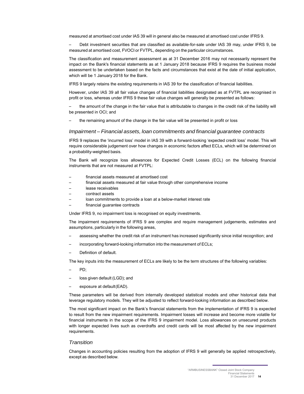measured at amortised cost under IAS 39 will in general also be measured at amortised cost under IFRS 9.

– Debt investment securities that are classified as available-for-sale under IAS 39 may, under IFRS 9, be measured at amortised cost, FVOCI or FVTPL, depending on the particular circumstances.

The classification and measurement assessment as at 31 December 2016 may not necessarily represent the impact on the Bank's financial statements as at 1 January 2018 because IFRS 9 requires the business model assessment to be undertaken based on the facts and circumstances that exist at the date of initial application, which will be 1 January 2018 for the Bank.

IFRS 9 largely retains the existing requirements in IAS 39 for the classification of financial liabilities.

However, under IAS 39 all fair value changes of financial liabilities designated as at FVTPL are recognised in profit or loss, whereas under IFRS 9 these fair value changes will generally be presented as follows:

– the amount of the change in the fair value that is attributable to changes in the credit risk of the liability will be presented in OCI; and

the remaining amount of the change in the fair value will be presented in profit or loss

### *Impairment – Financial assets, loan commitments and financial guarantee contracts*

IFRS 9 replaces the 'incurred loss' model in IAS 39 with a forward-looking 'expected credit loss' model. This will require considerable judgement over how changes in economic factors affect ECLs, which will be determined on a probability-weighted basis.

The Bank will recognize loss allowances for Expected Credit Losses (ECL) on the following financial instruments that are not measured at FVTPL:

- financial assets measured at amortised cost
- financial assets measured at fair value through other comprehensive income
- lease receivables
- contract assets
- loan commitments to provide a loan at a below-market interest rate
- financial guarantee contracts

Under IFRS 9, no impairment loss is recognised on equity investments.

The impairment requirements of IFRS 9 are complex and require management judgements, estimates and assumptions, particularly in the following areas,

- assessing whether the credit risk of an instrument has increased significantly since initial recognition; and
- incorporating forward-looking information into the measurement of ECLs;
- Definition of default.

The key inputs into the measurement of ECLs are likely to be the term structures of the following variables:

- PD;
- loss given default (LGD); and
- exposure at default (EAD).

These parameters will be derived from internally developed statistical models and other historical data that leverage regulatory models. They will be adjusted to reflect forward-looking information as described below.

The most significant impact on the Bank's financial statements from the implementation of IFRS 9 is expected to result from the new impairment requirements. Impairment losses will increase and become more volatile for financial instruments in the scope of the IFRS 9 impairment model. Loss allowances on unsecured products with longer expected lives such as overdrafts and credit cards will be most affected by the new impairment requirements.

#### *Transition*

Changes in accounting policies resulting from the adoption of IFRS 9 will generally be applied retrospectively, except as described below.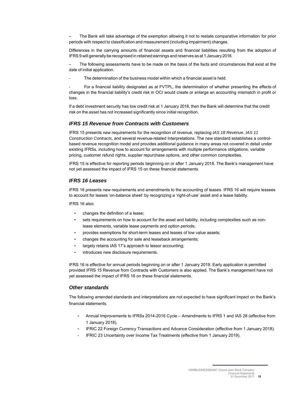– The Bank will take advantage of the exemption allowing it not to restate comparative information for prior periods with respect to classification and measurement (including impairment) changes.

Differences in the carrying amounts of financial assets and financial liabilities resulting from the adoption of IFRS 9 will generally be recognised in retained earnings and reserves as at 1 January 2018.

– The following assessments have to be made on the basis of the facts and circumstances that exist at the date of initial application.

The determination of the business model within which a financial asset is held.

For a financial liability designated as at FVTPL, the determination of whether presenting the effects of changes in the financial liability's credit risk in OCI would create or enlarge an accounting mismatch in profit or loss.

If a debt investment security has low credit risk at 1 January 2018, then the Bank will determine that the credit risk on the asset has not increased significantly since initial recognition.

#### *IFRS 15 Revenue from Contracts with Customers*

IFRS 15 presents new requirements for the recognition of revenue, replacing *IAS 18 Revenue*, *IAS 11 Construction Contracts*, and several revenue-related Interpretations. The new standard establishes a controlbased revenue recognition model and provides additional guidance in many areas not covered in detail under existing IFRSs, including how to account for arrangements with multiple performance obligations, variable pricing, customer refund rights, supplier repurchase options, and other common complexities.

IFRS 15 is effective for reporting periods beginning on or after 1 January 2018. The Bank's management have not yet assessed the impact of IFRS 15 on these financial statements.

#### *IFRS 16 Leases*

IFRS 16 presents new requirements and amendments to the accounting of leases. IFRS 16 will require lessees to account for leases 'on-balance sheet' by recognizing a 'right-of-use' asset and a lease liability.

IFRS 16 also:

- changes the definition of a lease;
- sets requirements on how to account for the asset and liability, including complexities such as nonlease elements, variable lease payments and option periods;
- provides exemptions for short-term leases and leases of low value assets;
- changes the accounting for sale and leaseback arrangements;
- largely retains IAS 17's approach to lessor accounting;
- introduces new disclosure requirements.

IFRS 16 is effective for annual periods beginning on or after 1 January 2019. Early application is permitted provided IFRS 15 Revenue from Contracts with Customers is also applied. The Bank's management have not yet assessed the impact of IFRS 16 on these financial statements.

#### *Other standards*

The following amended standards and interpretations are not expected to have significant impact on the Bank's financial statements.

- Annual Improvements to IFRSs 2014-2016 Cycle Amendments to IFRS 1 and IAS 28 (effective from 1 January 2018).
- IFRIC 22 Foreign Currency Transactions and Advance Consideration (effective from 1 January 2018).
- IFRIC 23 Uncertainty over Income Tax Treatments (effective from 1 January 2019).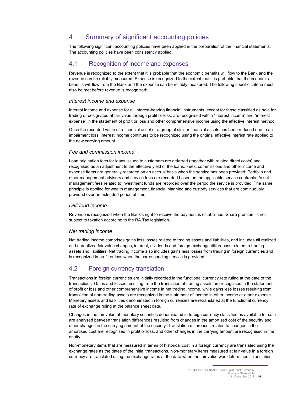## 4 Summary of significant accounting policies

The following significant accounting policies have been applied in the preparation of the financial statements. The accounting policies have been consistently applied.

## 4.1 Recognition of income and expenses

Revenue is recognized to the extent that it is probable that the economic benefits will flow to the Bank and the revenue can be reliably measured. Expense is recognized to the extent that it is probable that the economic benefits will flow from the Bank and the expense can be reliably measured. The following specific criteria must also be met before revenue is recognized:

#### *Interest income and expense*

Interest income and expense for all interest-bearing financial instruments, except for those classified as held for trading or designated at fair value through profit or loss, are recognised within "interest income" and "interest expense" in the statement of profit or loss and other comprehensive income using the effective interest method.

Once the recorded value of a financial asset or a group of similar financial assets has been reduced due to an impairment loss, interest income continues to be recognized using the original effective interest rate applied to the new carrying amount.

#### *Fee and commission income*

Loan origination fees for loans issued to customers are deferred (together with related direct costs) and recognised as an adjustment to the effective yield of the loans. Fees, commissions and other income and expense items are generally recorded on an accrual basis when the service has been provided. Portfolio and other management advisory and service fees are recorded based on the applicable service contracts. Asset management fees related to investment funds are recorded over the period the service is provided. The same principle is applied for wealth management, financial planning and custody services that are continuously provided over an extended period of time.

#### *Dividend income*

Revenue is recognized when the Bank's right to receive the payment is established. Share premium is not subject to taxation according to the RA Tax legislation.

#### *Net trading income*

Net trading income comprises gains less losses related to trading assets and liabilities, and includes all realized and unrealized fair value changes, interest, dividends and foreign exchange differences related to trading assets and liabilities. Net trading income also includes gains less losses from trading in foreign currencies and is recognized in profit or loss when the corresponding service is provided.

## 4.2 Foreign currency translation

Transactions in foreign currencies are initially recorded in the functional currency rate ruling at the date of the transactions. Gains and losses resulting from the translation of trading assets are recognised in the statement of profit or loss and other comprehensive income in net trading income, while gains less losses resulting from translation of non-trading assets are recognized in the statement of income in other income or other expense. Monetary assets and liabilities denominated in foreign currencies are retranslated at the functional currency rate of exchange ruling at the balance sheet date.

Changes in the fair value of monetary securities denominated in foreign currency classified as available for sale are analysed between translation differences resulting from changes in the amortised cost of the security and other changes in the carrying amount of the security. Translation differences related to changes in the amortised cost are recognised in profit or loss, and other changes in the carrying amount are recognised in the equity.

Non-monetary items that are measured in terms of historical cost in a foreign currency are translated using the exchange rates as the dates of the initial transactions. Non-monetary items measured at fair value in a foreign currency are translated using the exchange rates at the date when the fair value was determined. Translation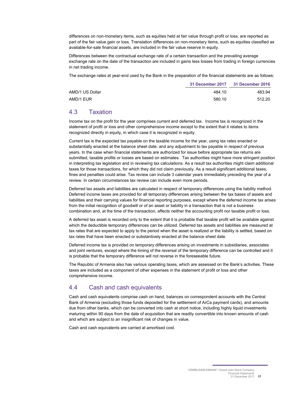differences on non-monetary items, such as equities held at fair value through profit or loss, are reported as part of the fair value gain or loss. Translation differences on non-monetary items, such as equities classified as available-for-sale financial assets, are included in the fair value reserve in equity.

Differences between the contractual exchange rate of a certain transaction and the prevailing average exchange rate on the date of the transaction are included in gains less losses from trading in foreign currencies in net trading income.

The exchange rates at year-end used by the Bank in the preparation of the financial statements are as follows:

|                 | 31 December 2017 | 31 December 2016 |
|-----------------|------------------|------------------|
| AMD/1 US Dollar | 484.10           | 483.94           |
| AMD/1 EUR       | 580.10           | 512.20           |

## 4.3 Taxation

Income tax on the profit for the year comprises current and deferred tax. Income tax is recognized in the statement of profit or loss and other comprehensive income except to the extent that it relates to items recognized directly in equity, in which case it is recognized in equity.

Current tax is the expected tax payable on the taxable income for the year, using tax rates enacted or substantially enacted at the balance sheet date, and any adjustment to tax payable in respect of previous years. In the case when financial statements are authorized for issue before appropriate tax returns are submitted, taxable profits or losses are based on estimates. Tax authorities might have more stringent position in interpreting tax legislation and in reviewing tax calculations. As a result tax authorities might claim additional taxes for those transactions, for which they did not claim previously. As a result significant additional taxes, fines and penalties could arise. Tax review can include 3 calendar years immediately preceding the year of a review. In certain circumstances tax review can include even more periods.

Deferred tax assets and liabilities are calculated in respect of temporary differences using the liability method. Deferred income taxes are provided for all temporary differences arising between the tax bases of assets and liabilities and their carrying values for financial reporting purposes, except where the deferred income tax arises from the initial recognition of goodwill or of an asset or liability in a transaction that is not a business combination and, at the time of the transaction, affects neither the accounting profit nor taxable profit or loss.

A deferred tax asset is recorded only to the extent that it is probable that taxable profit will be available against which the deductible temporary differences can be utilized. Deferred tax assets and liabilities are measured at tax rates that are expected to apply to the period when the asset is realized or the liability is settled, based on tax rates that have been enacted or substantively enacted at the balance sheet date.

Deferred income tax is provided on temporary differences arising on investments in subsidiaries, associates and joint ventures, except where the timing of the reversal of the temporary difference can be controlled and it is probable that the temporary difference will not reverse in the foreseeable future.

The Republic of Armenia also has various operating taxes, which are assessed on the Bank's activities. These taxes are included as a component of other expenses in the statement of profit or loss and other comprehensive income.

## 4.4 Cash and cash equivalents

Cash and cash equivalents comprise cash on hand, balances on correspondent accounts with the Central Bank of Armenia (excluding those funds deposited for the settlement of ArCa payment cards), and amounts due from other banks, which can be converted into cash at short notice, including highly liquid investments maturing within 90 days from the date of acquisition that are readily convertible into known amounts of cash and which are subject to an insignificant risk of changes in value.

Cash and cash equivalents are carried at amortised cost.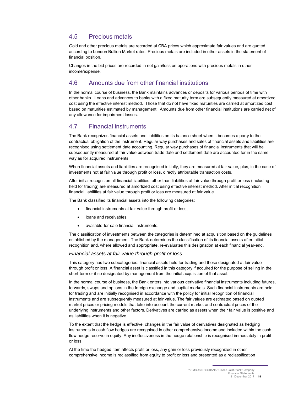## 4.5 Precious metals

Gold and other precious metals are recorded at CBA prices which approximate fair values and are quoted according to London Bullion Market rates. Precious metals are included in other assets in the statement of financial position.

Changes in the bid prices are recorded in net gain/loss on operations with precious metals in other income/expense.

## 4.6 Amounts due from other financial institutions

In the normal course of business, the Bank maintains advances or deposits for various periods of time with other banks. Loans and advances to banks with a fixed maturity term are subsequently measured at amortized cost using the effective interest method. Those that do not have fixed maturities are carried at amortized cost based on maturities estimated by management. Amounts due from other financial institutions are carried net of any allowance for impairment losses.

## 4.7 Financial instruments

The Bank recognizes financial assets and liabilities on its balance sheet when it becomes a party to the contractual obligation of the instrument. Regular way purchases and sales of financial assets and liabilities are recognised using settlement date accounting. Regular way purchases of financial instruments that will be subsequently measured at fair value between trade date and settlement date are accounted for in the same way as for acquired instruments.

When financial assets and liabilities are recognised initially, they are measured at fair value, plus, in the case of investments not at fair value through profit or loss, directly attributable transaction costs.

After initial recognition all financial liabilities, other than liabilities at fair value through profit or loss (including held for trading) are measured at amortized cost using effective interest method. After initial recognition financial liabilities at fair value through profit or loss are measured at fair value.

The Bank classified its financial assets into the following categories:

- financial instruments at fair value through profit or loss,
- loans and receivables,
- available-for-sale financial instruments.

The classification of investments between the categories is determined at acquisition based on the guidelines established by the management. The Bank determines the classification of its financial assets after initial recognition and, where allowed and appropriate, re-evaluates this designation at each financial year-end.

#### *Financial assets at fair value through profit or loss*

This category has two subcategories: financial assets held for trading and those designated at fair value through profit or loss. A financial asset is classified in this category if acquired for the purpose of selling in the short-term or if so designated by management from the initial acquisition of that asset.

In the normal course of business, the Bank enters into various derivative financial instruments including futures, forwards, swaps and options in the foreign exchange and capital markets. Such financial instruments are held for trading and are initially recognised in accordance with the policy for initial recognition of financial instruments and are subsequently measured at fair value. The fair values are estimated based on quoted market prices or pricing models that take into account the current market and contractual prices of the underlying instruments and other factors. Derivatives are carried as assets when their fair value is positive and as liabilities when it is negative.

To the extent that the hedge is effective, changes in the fair value of derivatives designated as hedging instruments in cash flow hedges are recognised in other comprehensive income and included within the cash flow hedge reserve in equity. Any ineffectiveness in the hedge relationship is recognised immediately in profit or loss.

At the time the hedged item affects profit or loss, any gain or loss previously recognized in other comprehensive income is reclassified from equity to profit or loss and presented as a reclassification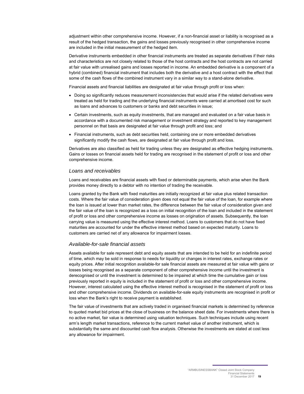adjustment within other comprehensive income. However, if a non-financial asset or liability is recognised as a result of the hedged transaction, the gains and losses previously recognised in other comprehensive income are included in the initial measurement of the hedged item.

Derivative instruments embedded in other financial instruments are treated as separate derivatives if their risks and characteristics are not closely related to those of the host contracts and the host contracts are not carried at fair value with unrealised gains and losses reported in income. An embedded derivative is a component of a hybrid (combined) financial instrument that includes both the derivative and a host contract with the effect that some of the cash flows of the combined instrument vary in a similar way to a stand-alone derivative.

Financial assets and financial liabilities are designated at fair value through profit or loss when:

- Doing so significantly reduces measurement inconsistencies that would arise if the related derivatives were treated as held for trading and the underlying financial instruments were carried at amortised cost for such as loans and advances to customers or banks and debt securities in issue;
- Certain investments, such as equity investments, that are managed and evaluated on a fair value basis in accordance with a documented risk management or investment strategy and reported to key management personnel on that basis are designated at fair value through profit and loss; and
- Financial instruments, such as debt securities held, containing one or more embedded derivatives significantly modify the cash flows, are designated at fair value through profit and loss.

Derivatives are also classified as held for trading unless they are designated as effective hedging instruments. Gains or losses on financial assets held for trading are recognised in the statement of profit or loss and other comprehensive income.

#### *Loans and receivables*

Loans and receivables are financial assets with fixed or determinable payments, which arise when the Bank provides money directly to a debtor with no intention of trading the receivable.

Loans granted by the Bank with fixed maturities are initially recognized at fair value plus related transaction costs. Where the fair value of consideration given does not equal the fair value of the loan, for example where the loan is issued at lower than market rates, the difference between the fair value of consideration given and the fair value of the loan is recognized as a loss on initial recognition of the loan and included in the statement of profit or loss and other comprehensive income as losses on origination of assets. Subsequently, the loan carrying value is measured using the effective interest method. Loans to customers that do not have fixed maturities are accounted for under the effective interest method based on expected maturity. Loans to customers are carried net of any allowance for impairment losses.

#### *Available-for-sale financial assets*

Assets available for sale represent debt and equity assets that are intended to be held for an indefinite period of time, which may be sold in response to needs for liquidity or changes in interest rates, exchange rates or equity prices. After initial recognition available-for sale financial assets are measured at fair value with gains or losses being recognised as a separate component of other comprehensive income until the investment is derecognised or until the investment is determined to be impaired at which time the cumulative gain or loss previously reported in equity is included in the statement of profit or loss and other comprehensive income. However, interest calculated using the effective interest method is recognised in the statement of profit or loss and other comprehensive income. Dividends on available-for-sale equity instruments are recognised in profit or loss when the Bank's right to receive payment is established.

The fair value of investments that are actively traded in organised financial markets is determined by reference to quoted market bid prices at the close of business on the balance sheet date. For investments where there is no active market, fair value is determined using valuation techniques. Such techniques include using recent arm's length market transactions, reference to the current market value of another instrument, which is substantially the same and discounted cash flow analysis. Otherwise the investments are stated at cost less any allowance for impairment.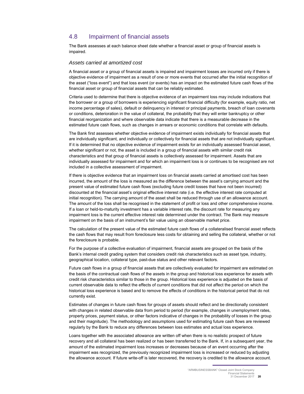## 4.8 Impairment of financial assets

The Bank assesses at each balance sheet date whether a financial asset or group of financial assets is impaired.

#### *Assets carried at amortized cost*

A financial asset or a group of financial assets is impaired and impairment losses are incurred only if there is objective evidence of impairment as a result of one or more events that occurred after the initial recognition of the asset ("loss event") and that loss event (or events) has an impact on the estimated future cash flows of the financial asset or group of financial assets that can be reliably estimated.

Criteria used to determine that there is objective evidence of an impairment loss may include indications that the borrower or a group of borrowers is experiencing significant financial difficulty (for example, equity ratio, net income percentage of sales), default or delinquency in interest or principal payments, breach of loan covenants or conditions, deterioration in the value of collateral, the probability that they will enter bankruptcy or other financial reorganization and where observable data indicate that there is a measurable decrease in the estimated future cash flows, such as changes in arrears or economic conditions that correlate with defaults.

The Bank first assesses whether objective evidence of impairment exists individually for financial assets that are individually significant, and individually or collectively for financial assets that are not individually significant. If it is determined that no objective evidence of impairment exists for an individually assessed financial asset, whether significant or not, the asset is included in a group of financial assets with similar credit risk characteristics and that group of financial assets is collectively assessed for impairment. Assets that are individually assessed for impairment and for which an impairment loss is or continues to be recognised are not included in a collective assessment of impairment.

If there is objective evidence that an impairment loss on financial assets carried at amortised cost has been incurred, the amount of the loss is measured as the difference between the asset's carrying amount and the present value of estimated future cash flows (excluding future credit losses that have not been incurred) discounted at the financial asset's original effective interest rate (i.e. the effective interest rate computed at initial recognition). The carrying amount of the asset shall be reduced through use of an allowance account. The amount of the loss shall be recognised in the statement of profit or loss and other comprehensive income. If a loan or held-to-maturity investment has a variable interest rate, the discount rate for measuring any impairment loss is the current effective interest rate determined under the contract. The Bank may measure impairment on the basis of an instrument's fair value using an observable market price.

The calculation of the present value of the estimated future cash flows of a collateralised financial asset reflects the cash flows that may result from foreclosure less costs for obtaining and selling the collateral, whether or not the foreclosure is probable.

For the purpose of a collective evaluation of impairment, financial assets are grouped on the basis of the Bank's internal credit grading system that considers credit risk characteristics such as asset type, industry, geographical location, collateral type, past-due status and other relevant factors.

Future cash flows in a group of financial assets that are collectively evaluated for impairment are estimated on the basis of the contractual cash flows of the assets in the group and historical loss experience for assets with credit risk characteristics similar to those in the group. Historical loss experience is adjusted on the basis of current observable data to reflect the effects of current conditions that did not affect the period on which the historical loss experience is based and to remove the effects of conditions in the historical period that do not currently exist.

Estimates of changes in future cash flows for groups of assets should reflect and be directionally consistent with changes in related observable data from period to period (for example, changes in unemployment rates, property prices, payment status, or other factors indicative of changes in the probability of losses in the group and their magnitude). The methodology and assumptions used for estimating future cash flows are reviewed regularly by the Bank to reduce any differences between loss estimates and actual loss experience.

Loans together with the associated allowance are written off when there is no realistic prospect of future recovery and all collateral has been realized or has been transferred to the Bank. If, in a subsequent year, the amount of the estimated impairment loss increases or decreases because of an event occurring after the impairment was recognized, the previously recognized impairment loss is increased or reduced by adjusting the allowance account. If future write-off is later recovered, the recovery is credited to the allowance account.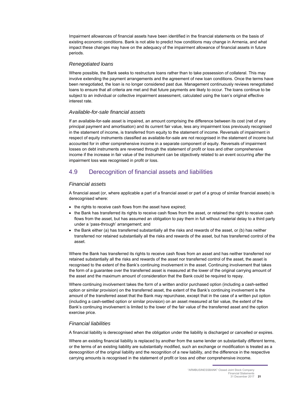Impairment allowances of financial assets have been identified in the financial statements on the basis of existing economic conditions. Bank is not able to predict how conditions may change in Armenia, and what impact these changes may have on the adequacy of the impairment allowance of financial assets in future periods.

#### *Renegotiated loans*

Where possible, the Bank seeks to restructure loans rather than to take possession of collateral. This may involve extending the payment arrangements and the agreement of new loan conditions. Once the terms have been renegotiated, the loan is no longer considered past due. Management continuously reviews renegotiated loans to ensure that all criteria are met and that future payments are likely to occur. The loans continue to be subject to an individual or collective impairment assessment, calculated using the loan's original effective interest rate.

#### *Available-for-sale financial assets*

If an available-for-sale asset is impaired, an amount comprising the difference between its cost (net of any principal payment and amortisation) and its current fair value, less any impairment loss previously recognised in the statement of income, is transferred from equity to the statement of income. Reversals of impairment in respect of equity instruments classified as available-for-sale are not recognised in the statement of income but accounted for in other comprehensive income in a separate component of equity. Reversals of impairment losses on debt instruments are reversed through the statement of profit or loss and other comprehensive income if the increase in fair value of the instrument can be objectively related to an event occurring after the impairment loss was recognised in profit or loss.

## 4.9 Derecognition of financial assets and liabilities

#### *Financial assets*

A financial asset (or, where applicable a part of a financial asset or part of a group of similar financial assets) is derecognised where:

- the rights to receive cash flows from the asset have expired;
- the Bank has transferred its rights to receive cash flows from the asset, or retained the right to receive cash flows from the asset, but has assumed an obligation to pay them in full without material delay to a third party under a 'pass-through' arrangement; and
- the Bank either (a) has transferred substantially all the risks and rewards of the asset, or (b) has neither transferred nor retained substantially all the risks and rewards of the asset, but has transferred control of the asset.

Where the Bank has transferred its rights to receive cash flows from an asset and has neither transferred nor retained substantially all the risks and rewards of the asset nor transferred control of the asset, the asset is recognised to the extent of the Bank's continuing involvement in the asset. Continuing involvement that takes the form of a guarantee over the transferred asset is measured at the lower of the original carrying amount of the asset and the maximum amount of consideration that the Bank could be required to repay.

Where continuing involvement takes the form of a written and/or purchased option (including a cash-settled option or similar provision) on the transferred asset, the extent of the Bank's continuing involvement is the amount of the transferred asset that the Bank may repurchase, except that in the case of a written put option (including a cash-settled option or similar provision) on an asset measured at fair value, the extent of the Bank's continuing involvement is limited to the lower of the fair value of the transferred asset and the option exercise price.

#### *Financial liabilities*

A financial liability is derecognised when the obligation under the liability is discharged or cancelled or expires.

Where an existing financial liability is replaced by another from the same lender on substantially different terms, or the terms of an existing liability are substantially modified, such an exchange or modification is treated as a derecognition of the original liability and the recognition of a new liability, and the difference in the respective carrying amounts is recognised in the statement of profit or loss and other comprehensive income.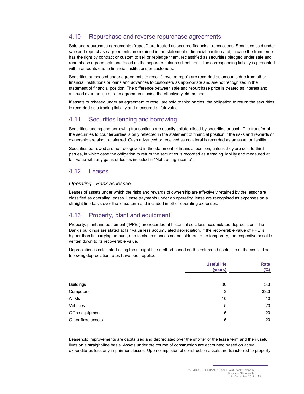## 4.10 Repurchase and reverse repurchase agreements

Sale and repurchase agreements ("repos") are treated as secured financing transactions. Securities sold under sale and repurchase agreements are retained in the statement of financial position and, in case the transferee has the right by contract or custom to sell or repledge them, reclassified as securities pledged under sale and repurchase agreements and faced as the separate balance sheet item. The corresponding liability is presented within amounts due to financial institutions or customers.

Securities purchased under agreements to resell ("reverse repo") are recorded as amounts due from other financial institutions or loans and advances to customers as appropriate and are not recognized in the statement of financial position. The difference between sale and repurchase price is treated as interest and accrued over the life of repo agreements using the effective yield method.

If assets purchased under an agreement to resell are sold to third parties, the obligation to return the securities is recorded as a trading liability and measured at fair value.

## 4.11 Securities lending and borrowing

Securities lending and borrowing transactions are usually collateralised by securities or cash. The transfer of the securities to counterparties is only reflected in the statement of financial position if the risks and rewards of ownership are also transferred. Cash advanced or received as collateral is recorded as an asset or liability.

Securities borrowed are not recognized in the statement of financial position, unless they are sold to third parties, in which case the obligation to return the securities is recorded as a trading liability and measured at fair value with any gains or losses included in "Net trading income".

## 4.12 Leases

## *Operating - Bank as lessee*

Leases of assets under which the risks and rewards of ownership are effectively retained by the lessor are classified as operating leases. Lease payments under an operating lease are recognised as expenses on a straight-line basis over the lease term and included in other operating expenses.

## 4.13 Property, plant and equipment

Property, plant and equipment ("PPE") are recorded at historical cost less accumulated depreciation. The Bank's buildings are stated at fair value less accumulated depreciation. If the recoverable value of PPE is higher than its carrying amount, due to circumstances not considered to be temporary, the respective asset is written down to its recoverable value.

Depreciation is calculated using the straight-line method based on the estimated useful life of the asset. The following depreciation rates have been applied:

|                    | <b>Useful life</b> | Rate   |
|--------------------|--------------------|--------|
|                    | (years)            | $(\%)$ |
|                    |                    |        |
| <b>Buildings</b>   | 30                 | 3.3    |
| Computers          | 3                  | 33.3   |
| <b>ATMs</b>        | 10                 | 10     |
| Vehicles           | 5                  | 20     |
| Office equipment   | 5                  | 20     |
| Other fixed assets | 5                  | 20     |

Leasehold improvements are capitalized and depreciated over the shorter of the lease term and their useful lives on a straight-line basis. Assets under the course of construction are accounted based on actual expenditures less any impairment losses. Upon completion of construction assets are transferred to property

<sup>&</sup>quot;ARMBUSINESSBANK" Closed Joint Stock Company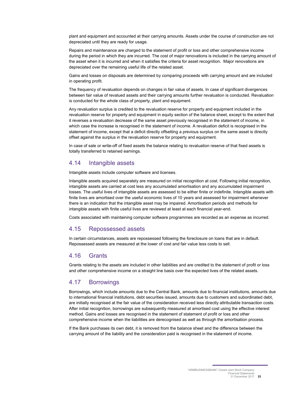plant and equipment and accounted at their carrying amounts. Assets under the course of construction are not depreciated until they are ready for usage.

Repairs and maintenance are charged to the statement of profit or loss and other comprehensive income during the period in which they are incurred. The cost of major renovations is included in the carrying amount of the asset when it is incurred and when it satisfies the criteria for asset recognition. Major renovations are depreciated over the remaining useful life of the related asset.

Gains and losses on disposals are determined by comparing proceeds with carrying amount and are included in operating profit.

The frequency of revaluation depends on changes in fair value of assets. In case of significant divergences between fair value of revalued assets and their carrying amounts further revaluation is conducted. Revaluation is conducted for the whole class of property, plant and equipment*.*

Any revaluation surplus is credited to the revaluation reserve for property and equipment included in the revaluation reserve for property and equipment in equity section of the balance sheet, except to the extent that it reverses a revaluation decrease of the same asset previously recognised in the statement of income, in which case the increase is recognised in the statement of income. A revaluation deficit is recognised in the statement of income, except that a deficit directly offsetting a previous surplus on the same asset is directly offset against the surplus in the revaluation reserve for property and equipment*.* 

In case of sale or write-off of fixed assets the balance relating to revaluation reserve of that fixed assets is totally transferred to retained earnings.

## 4.14 Intangible assets

Intangible assets include computer software and licenses.

Intangible assets acquired separately are measured on initial recognition at cost. Following initial recognition, intangible assets are carried at cost less any accumulated amortisation and any accumulated impairment losses. The useful lives of intangible assets are assessed to be either finite or indefinite. Intangible assets with finite lives are amortised over the useful economic lives of 10 years and assessed for impairment whenever there is an indication that the intangible asset may be impaired. Amortisation periods and methods for intangible assets with finite useful lives are reviewed at least at each financial year-end.

Costs associated with maintaining computer software programmes are recorded as an expense as incurred.

## 4.15 Repossessed assets

In certain circumstances, assets are repossessed following the foreclosure on loans that are in default. Repossessed assets are measured at the lower of cost and fair value less costs to sell.

## 4.16 Grants

Grants relating to the assets are included in other liabilities and are credited to the statement of profit or loss and other comprehensive income on a straight line basis over the expected lives of the related assets.

## 4.17 Borrowings

Borrowings, which include amounts due to the Central Bank, amounts due to financial institutions, amounts due to international financial institutions, debt securities issued, amounts due to customers and subordinated debt, are initially recognised at the fair value of the consideration received less directly attributable transaction costs. After initial recognition, borrowings are subsequently measured at amortised cost using the effective interest method. Gains and losses are recognised in the statement of statement of profit or loss and other comprehensive income when the liabilities are derecognised as well as through the amortisation process.

If the Bank purchases its own debt, it is removed from the balance sheet and the difference between the carrying amount of the liability and the consideration paid is recognised in the statement of income.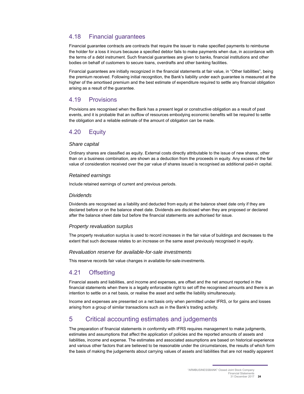## 4.18 Financial guarantees

Financial guarantee contracts are contracts that require the issuer to make specified payments to reimburse the holder for a loss it incurs because a specified debtor fails to make payments when due, in accordance with the terms of a debt instrument. Such financial guarantees are given to banks, financial institutions and other bodies on behalf of customers to secure loans, overdrafts and other banking facilities.

Financial guarantees are initially recognized in the financial statements at fair value, in "Other liabilities", being the premium received. Following initial recognition, the Bank's liability under each guarantee is measured at the higher of the amortised premium and the best estimate of expenditure required to settle any financial obligation arising as a result of the guarantee.

## 4.19 Provisions

Provisions are recognised when the Bank has a present legal or constructive obligation as a result of past events, and it is probable that an outflow of resources embodying economic benefits will be required to settle the obligation and a reliable estimate of the amount of obligation can be made.

## 4.20 Equity

#### *Share capital*

Ordinary shares are classified as equity. External costs directly attributable to the issue of new shares, other than on a business combination, are shown as a deduction from the proceeds in equity. Any excess of the fair value of consideration received over the par value of shares issued is recognised as additional paid-in capital.

### *Retained earnings*

Include retained earnings of current and previous periods.

#### *Dividends*

Dividends are recognised as a liability and deducted from equity at the balance sheet date only if they are declared before or on the balance sheet date. Dividends are disclosed when they are proposed or declared after the balance sheet date but before the financial statements are authorised for issue.

## *Property revaluation surplus*

The property revaluation surplus is used to record increases in the fair value of buildings and decreases to the extent that such decrease relates to an increase on the same asset previously recognised in equity.

#### *Revaluation reserve for available-for-sale investments*

This reserve records fair value changes in available-for-sale-investments.

## 4.21 Offsetting

Financial assets and liabilities, and income and expenses, are offset and the net amount reported in the financial statements when there is a legally enforceable right to set off the recognised amounts and there is an intention to settle on a net basis, or realise the asset and settle the liability simultaneously.

Income and expenses are presented on a net basis only when permitted under IFRS, or for gains and losses arising from a group of similar transactions such as in the Bank's trading activity.

## 5 Critical accounting estimates and judgements

The preparation of financial statements in conformity with IFRS requires management to make judgments, estimates and assumptions that affect the application of policies and the reported amounts of assets and liabilities, income and expense. The estimates and associated assumptions are based on historical experience and various other factors that are believed to be reasonable under the circumstances, the results of which form the basis of making the judgements about carrying values of assets and liabilities that are not readily apparent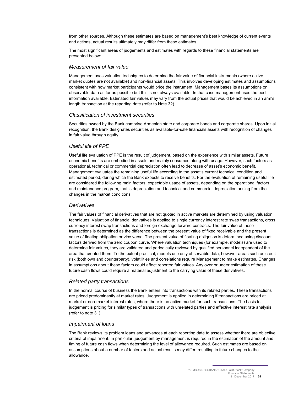from other sources. Although these estimates are based on management's best knowledge of current events and actions, actual results ultimately may differ from these estimates.

The most significant areas of judgements and estimates with regards to these financial statements are presented below:

#### *Measurement of fair value*

Management uses valuation techniques to determine the fair value of financial instruments (where active market quotes are not available) and non-financial assets. This involves developing estimates and assumptions consistent with how market participants would price the instrument. Management bases its assumptions on observable data as far as possible but this is not always available. In that case management uses the best information available. Estimated fair values may vary from the actual prices that would be achieved in an arm's length transaction at the reporting date (refer to Note 32).

#### *Classification of investment securities*

Securities owned by the Bank comprise Armenian state and corporate bonds and corporate shares. Upon initial recognition, the Bank designates securities as available-for-sale financials assets with recognition of changes in fair value through equity.

#### *Useful life of PPE*

Useful life evaluation of PPE is the result of judgement, based on the experience with similar assets. Future economic benefits are embodied in assets and mainly consumed along with usage. However, such factors as operational, technical or commercial depreciation often lead to decrease of asset's economic benefit. Management evaluates the remaining useful life according to the asset's current technical condition and estimated period, during which the Bank expects to receive benefits. For the evaluation of remaining useful life are considered the following main factors: expectable usage of assets, depending on the operational factors and maintenance program, that is depreciation and technical and commercial depreciation arising from the changes in the market conditions.

#### *Derivatives*

The fair values of financial derivatives that are not quoted in active markets are determined by using valuation techniques. Valuation of financial derivatives is applied to single currency interest rate swap transactions, cross currency interest swap transactions and foreign exchange forward contracts. The fair value of these transactions is determined as the difference between the present value of fixed receivable and the present value of floating obligation or vice versa. The present value of floating obligation is determined using discount factors derived from the zero coupon curve. Where valuation techniques (for example, models) are used to determine fair values, they are validated and periodically reviewed by qualified personnel independent of the area that created them. To the extent practical, models use only observable data, however areas such as credit risk (both own and counterparty), volatilities and correlations require Management to make estimates. Changes in assumptions about these factors could affect reported fair values. Any over or under estimation of these future cash flows could require a material adjustment to the carrying value of these derivatives.

#### *Related party transactions*

In the normal course of business the Bank enters into transactions with its related parties. These transactions are priced predominantly at market rates. Judgement is applied in determining if transactions are priced at market or non-market interest rates, where there is no active market for such transactions. The basis for judgement is pricing for similar types of transactions with unrelated parties and effective interest rate analysis (refer to note 31).

#### *Impairment of loans*

The Bank reviews its problem loans and advances at each reporting date to assess whether there are objective criteria of impairment. In particular, judgement by management is required in the estimation of the amount and timing of future cash flows when determining the level of allowance required. Such estimates are based on assumptions about a number of factors and actual results may differ, resulting in future changes to the allowance.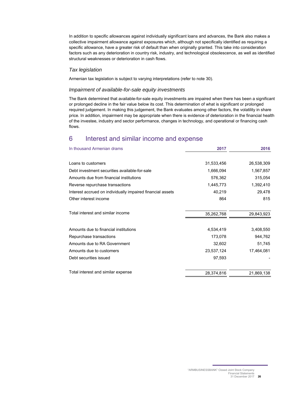In addition to specific allowances against individually significant loans and advances, the Bank also makes a collective impairment allowance against exposures which, although not specifically identified as requiring a specific allowance, have a greater risk of default than when originally granted. This take into consideration factors such as any deterioration in country risk, industry, and technological obsolescence, as well as identified structural weaknesses or deterioration in cash flows.

#### *Tax legislation*

Armenian tax legislation is subject to varying interpretations (refer to note 30).

#### *Impairment of available-for-sale equity investments*

The Bank determined that available-for-sale equity investments are impaired when there has been a significant or prolonged decline in the fair value below its cost. This determination of what is significant or prolonged required judgement. In making this judgement, the Bank evaluates among other factors, the volatility in share price. In addition, impairment may be appropriate when there is evidence of deterioration in the financial health of the investee, industry and sector performance, changes in technology, and operational or financing cash flows.

## 6 Interest and similar income and expense

| In thousand Armenian drams                                 | 2017       | 2016       |
|------------------------------------------------------------|------------|------------|
| Loans to customers                                         | 31,533,456 | 26,538,309 |
|                                                            |            |            |
| Debt investment securities available-for-sale              | 1,666,094  | 1,567,857  |
| Amounts due from financial institutions                    | 576,362    | 315,054    |
| Reverse repurchase transactions                            | 1,445,773  | 1,392,410  |
| Interest accrued on individually impaired financial assets | 40,219     | 29,478     |
| Other interest income                                      | 864        | 815        |
| Total interest and similar income                          | 35,262,768 | 29,843,923 |
| Amounts due to financial institutions                      | 4,534,419  | 3,408,550  |
| Repurchase transactions                                    | 173,078    | 944,762    |
| Amounts due to RA Government                               | 32,602     | 51,745     |
| Amounts due to customers                                   | 23,537,124 | 17,464,081 |
| Debt securities issued                                     | 97,593     |            |
| Total interest and similar expense                         | 28,374,816 | 21,869,138 |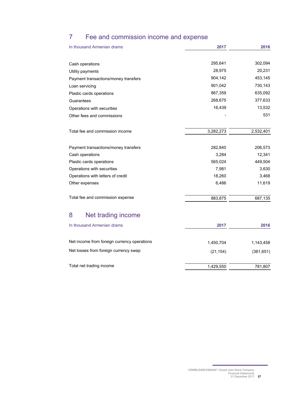## 7 Fee and commission income and expense

| In thousand Armenian drams                  | 2017      | 2016       |
|---------------------------------------------|-----------|------------|
|                                             |           |            |
| Cash operations                             | 295,641   | 302,094    |
| Utility payments                            | 28,975    | 20,231     |
| Payment transactions/money transfers        | 904,142   | 453,145    |
| Loan servicing                              | 901,042   | 730,143    |
| Plastic cards operations                    | 867,359   | 635,092    |
| Guarantees                                  | 268,675   | 377,633    |
| Operations with securities                  | 16,439    | 13,532     |
| Other fees and commissions                  |           | 531        |
| Total fee and commission income             | 3,282,273 | 2,532,401  |
| Payment transactions/money transfers        | 282,840   | 206,573    |
| Cash operations                             | 3,284     | 12,341     |
| Plastic cards operations                    | 565,024   | 449,504    |
| Operations with securities                  | 7,981     | 3,630      |
| Operations with letters of credit           | 18,260    | 3,468      |
| Other expenses                              | 6,486     | 11,619     |
| Total fee and commission expense            | 883,875   | 687,135    |
| 8<br>Net trading income                     |           |            |
| In thousand Armenian drams                  | 2017      | 2016       |
| Net income from foreign currency operations | 1,450,704 | 1,143,458  |
| Net losses from foreign currency swap       | (21, 154) | (361, 651) |
| Total net trading income                    | 1,429,550 | 781,807    |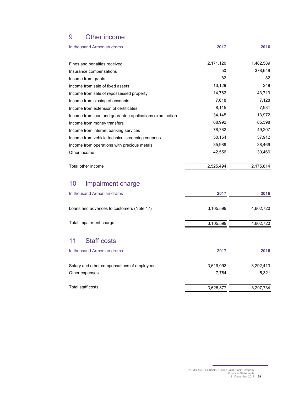## 9 Other income

| In thousand Armenian drams                              | 2017      | 2016      |
|---------------------------------------------------------|-----------|-----------|
|                                                         |           |           |
| Fines and penalties received                            | 2,171,120 | 1,482,589 |
| Insurance compensations                                 | 50        | 378,649   |
| Income from grants                                      | 82        | 82        |
| Income from sale of fixed assets                        | 13,129    | 248       |
| Income from sale of repossessed property                | 14,762    | 43,713    |
| Income from closing of accounts                         | 7,618     | 7,128     |
| Income from extension of certificates                   | 8,115     | 7,981     |
| Income from loan and guarantee applications examination | 34,145    | 13,972    |
| Income from money transfers                             | 68,992    | 85,398    |
| Income from internet banking services                   | 78,782    | 49,207    |
| Income from vehicle technical screening coupons         | 50,154    | 37,912    |
| Income from operations with precious metals             | 35,989    | 38,469    |
| Other income                                            | 42,556    | 30,466    |
| Total other income                                      | 2,525,494 | 2,175,814 |

## 10 Impairment charge

| 2017      | 2016      |
|-----------|-----------|
| 3,105,599 | 4,602,720 |
| 3,105,599 | 4,602,720 |
|           |           |

## 11 Staff costs

| In thousand Armenian drams                  | 2017      | 2016      |
|---------------------------------------------|-----------|-----------|
| Salary and other compensations of employees | 3,619,093 | 3,292,413 |
| Other expenses                              | 7.784     | 5,321     |
| Total staff costs                           | 3,626,877 | 3,297,734 |

<sup>&</sup>quot;ARMBUSINESSBANK" Closed Joint Stock Company Financial Statements 31 December 2017 **28**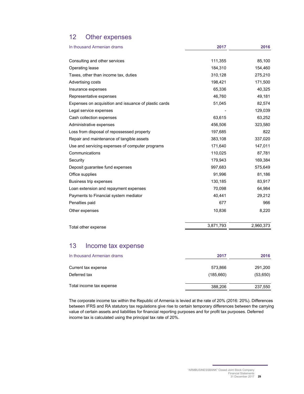## 12 Other expenses

| In thousand Armenian drams                            | 2017      | 2016      |
|-------------------------------------------------------|-----------|-----------|
|                                                       |           |           |
| Consulting and other services                         | 111,355   | 85,100    |
| Operating lease                                       | 184,310   | 154,460   |
| Taxes, other than income tax, duties                  | 310,128   | 275,210   |
| Advertising costs                                     | 198,421   | 171,500   |
| Insurance expenses                                    | 65,336    | 40,325    |
| Representative expenses                               | 46,760    | 49,181    |
| Expenses on acquisition and issuance of plastic cards | 51,045    | 82,574    |
| Legal service expenses                                |           | 129,039   |
| Cash collection expenses                              | 63,615    | 63,252    |
| Administrative expenses                               | 456,506   | 323,580   |
| Loss from disposal of repossessed property            | 197,685   | 822       |
| Repair and maintenance of tangible assets             | 383,108   | 337,020   |
| Use and servicing expenses of computer programs       | 171,640   | 147,011   |
| Communications                                        | 110,025   | 87,781    |
| Security                                              | 179,943   | 169,384   |
| Deposit guarantee fund expenses                       | 997,683   | 575,649   |
| Office supplies                                       | 91,996    | 81,186    |
| Business trip expenses                                | 130,185   | 83,917    |
| Loan extension and repayment expenses                 | 70,098    | 64,984    |
| Payments to Financial system mediator                 | 40,441    | 29,212    |
| Penalties paid                                        | 677       | 966       |
| Other expenses                                        | 10,836    | 8,220     |
| Total other expense                                   | 3,871,793 | 2,960,373 |

## 13 Income tax expense

| In thousand Armenian drams          | 2017                 | 2016                |
|-------------------------------------|----------------------|---------------------|
| Current tax expense<br>Deferred tax | 573,866<br>(185,660) | 291,200<br>(53,650) |
| Total income tax expense            | 388,206              | 237,550             |

The corporate income tax within the Republic of Armenia is levied at the rate of 20% (2016: 20%). Differences between IFRS and RA statutory tax regulations give rise to certain temporary differences between the carrying value of certain assets and liabilities for financial reporting purposes and for profit tax purposes. Deferred income tax is calculated using the principal tax rate of 20%.

"ARMBUSINESSBANK" Closed Joint Stock Company Financial Statements 31 December 2017 **29**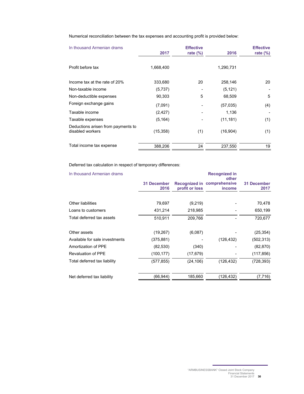Numerical reconciliation between the tax expenses and accounting profit is provided below:

| In thousand Armenian drams                             |           | <b>Effective</b> |           | <b>Effective</b> |
|--------------------------------------------------------|-----------|------------------|-----------|------------------|
|                                                        | 2017      | rate $(\%)$      | 2016      | rate $(\%)$      |
| Profit before tax                                      | 1,668,400 |                  | 1,290,731 |                  |
| Income tax at the rate of 20%                          | 333,680   | 20               | 258,146   | 20               |
| Non-taxable income                                     | (5,737)   |                  | (5, 121)  |                  |
| Non-deductible expenses                                | 90,303    | 5                | 68,509    | 5                |
| Foreign exchange gains                                 | (7,091)   |                  | (57, 035) | (4)              |
| Taxable income                                         | (2, 427)  |                  | 1,136     |                  |
| Taxable expenses                                       | (5, 164)  |                  | (11, 181) | (1)              |
| Deductions arisen from payments to<br>disabled workers | (15, 358) | (1)              | (16, 904) | (1)              |
| Total income tax expense                               | 388,206   | 24               | 237,550   | 19               |

Deferred tax calculation in respect of temporary differences:

| In thousand Armenian drams     |                     |                | <b>Recognized in</b><br>other         |                     |
|--------------------------------|---------------------|----------------|---------------------------------------|---------------------|
|                                | 31 December<br>2016 | profit or loss | Recognized in comprehensive<br>income | 31 December<br>2017 |
|                                |                     |                |                                       |                     |
| Other liabilities              | 79,697              | (9,219)        |                                       | 70,478              |
| Loans to customers             | 431,214             | 218,985        |                                       | 650,199             |
| Total deferred tax assets      | 510,911             | 209,766        |                                       | 720,677             |
| Other assets                   | (19,267)            | (6,087)        |                                       | (25, 354)           |
| Available for sale investments | (375,881)           |                | (126, 432)                            | (502, 313)          |
| Amortization of PPE            | (82, 530)           | (340)          |                                       | (82, 870)           |
| <b>Revaluation of PPE</b>      | (100, 177)          | (17, 679)      |                                       | (117, 856)          |
| Total deferred tax liability   | (577, 855)          | (24, 106)      | (126, 432)                            | (728, 393)          |
| Net deferred tax liability     | (66,944)            | 185,660        | (126,432)                             | (7, 716)            |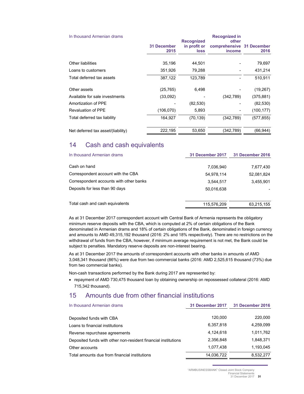| In thousand Armenian drams         |                            | <b>Recognized in</b>                             |                                                     |            |  |  |
|------------------------------------|----------------------------|--------------------------------------------------|-----------------------------------------------------|------------|--|--|
|                                    | <b>31 December</b><br>2015 | <b>Recognized</b><br>in profit or<br><b>loss</b> | other<br>comprehensive 31 December<br><i>income</i> | 2016       |  |  |
| Other liabilities                  | 35,196                     | 44.501                                           |                                                     | 79,697     |  |  |
| Loans to customers                 | 351,926                    | 79,288                                           |                                                     | 431,214    |  |  |
| Total deferred tax assets          | 387,122                    | 123,789                                          |                                                     | 510,911    |  |  |
| Other assets                       | (25, 765)                  | 6,498                                            |                                                     | (19, 267)  |  |  |
| Available for sale investments     | (33,092)                   |                                                  | (342,789)                                           | (375, 881) |  |  |
| Amortization of PPE                |                            | (82, 530)                                        |                                                     | (82, 530)  |  |  |
| <b>Revaluation of PPE</b>          | (106,070)                  | 5,893                                            |                                                     | (100, 177) |  |  |
| Total deferred tax liability       | 164,927                    | (70, 139)                                        | (342, 789)                                          | (577, 855) |  |  |
| Net deferred tax asset/(liability) | 222,195                    | 53,650                                           | (342,789)                                           | (66,944)   |  |  |

## 14 Cash and cash equivalents

| In thousand Armenian drams              | 31 December 2017 | 31 December 2016 |
|-----------------------------------------|------------------|------------------|
| Cash on hand                            | 7,036,940        | 7,677,430        |
| Correspondent account with the CBA      | 54.978.114       | 52,081,824       |
| Correspondent accounts with other banks | 3.544.517        | 3,455,901        |
| Deposits for less than 90 days          | 50,016,638       |                  |
| Total cash and cash equivalents         | 115,576,209      | 63,215,155       |

As at 31 December 2017 correspondent account with Central Bank of Armenia represents the obligatory minimum reserve deposits with the CBA, which is computed at 2% of certain obligations of the Bank denominated in Armenian drams and 18% of certain obligations of the Bank, denominated in foreign currency and amounts to AMD 49,315,192 thousand (2016: 2% and 18% respectively). There are no restrictions on the withdrawal of funds from the CBA, however, if minimum average requirement is not met, the Bank could be subject to penalties. Mandatory reserve deposits are non-interest bearing.

As at 31 December 2017 the amounts of correspondent accounts with other banks in amounts of AMD 3,048,341 thousand (86%) were due from two commercial banks (2016: AMD 2,525,615 thousand (73%) due from two commercial banks).

Non-cash transactions performed by the Bank during 2017 are represented by:

 repayment of AMD 730,475 thousand loan by obtaining ownership on repossessed collateral (2016: AMD 715,342 thousand).

## 15 Amounts due from other financial institutions

| In thousand Armenian drams                                     | 31 December 2017 | <b>31 December 2016</b> |
|----------------------------------------------------------------|------------------|-------------------------|
|                                                                |                  |                         |
| Deposited funds with CBA                                       | 120,000          | 220,000                 |
| Loans to financial institutions                                | 6,357,818        | 4,259,099               |
| Reverse repurchase agreements                                  | 4.124.618        | 1,011,762               |
| Deposited funds with other non-resident financial institutions | 2,356,848        | 1,848,371               |
| Other accounts                                                 | 1,077,438        | 1,193,045               |
| Total amounts due from financial institutions                  | 14,036,722       | 8,532,277               |

"ARMBUSINESSBANK" Closed Joint Stock Company

Financial Statements 31 December 2017 **31**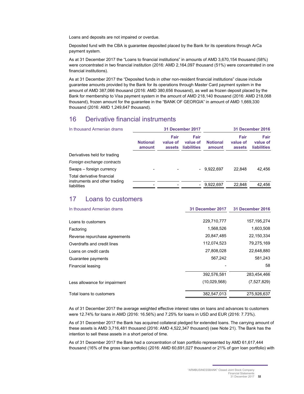Loans and deposits are not impaired or overdue.

Deposited fund with the CBA is guarantee deposited placed by the Bank for its operations through ArCa payment system.

As at 31 December 2017 the "Loans to financial institutions" in amounts of AMD 3,670,154 thousand (58%) were concentrated in two financial institution (2016: AMD 2,164,097 thousand (51%) were concentrated in one financial institutions).

As at 31 December 2017 the "Deposited funds in other non-resident financial institutions" clause include guarantee amounts provided by the Bank for its operations through Master Card payment system in the amount of AMD 387,066 thousand (2016: AMD 380,656 thousand), as well as frozen deposit placed by the Bank for membership to Visa payment system in the amount of AMD 218,140 thousand (2016: AMD 218,068 thousand), frozen amount for the guarantee in the "BANK OF GEORGIA" in amount of AMD 1,669,330 thousand (2016: AMD 1,249,647 thousand).

## 16 Derivative financial instruments

| In thousand Armenian drams                                  |                           |                            | 31 December 2017                |                           |                            | <b>31 December 2016</b>                |
|-------------------------------------------------------------|---------------------------|----------------------------|---------------------------------|---------------------------|----------------------------|----------------------------------------|
|                                                             | <b>Notional</b><br>amount | Fair<br>value of<br>assets | Fair<br>value of<br>liabilities | <b>Notional</b><br>amount | Fair<br>value of<br>assets | Fair<br>value of<br><b>liabilities</b> |
| Derivatives held for trading                                |                           |                            |                                 |                           |                            |                                        |
| Foreign exchange contracts                                  |                           |                            |                                 |                           |                            |                                        |
| Swaps – foreign currency                                    |                           |                            |                                 | $-9.922.697$              | 22.848                     | 42,456                                 |
| Total derivative financial<br>instruments and other trading | $\overline{\phantom{a}}$  |                            | $-$                             | 9.922.697                 | 22.848                     | 42.456                                 |
| liabilities                                                 |                           |                            |                                 |                           |                            |                                        |

## 17 Loans to customers

| In thousand Armenian drams    | 31 December 2017 | 31 December 2016 |
|-------------------------------|------------------|------------------|
| Loans to customers            | 229,710,777      | 157, 195, 274    |
| Factoring                     | 1,568,526        | 1,603,508        |
| Reverse repurchase agreements | 20,847,485       | 22,150,334       |
| Overdrafts and credit lines   | 112,074,523      | 79,275,169       |
| Loans on credit cards         | 27,808,028       | 22,648,880       |
| Guarantee payments            | 567,242          | 581,243          |
| Financial leasing             |                  | 58               |
|                               | 392,576,581      | 283,454,466      |
| Less allowance for impairment | (10.029.568)     | (7,527,829)      |
| Total loans to customers      | 382,547,013      | 275,926,637      |

As of 31 December 2017 the average weighted effective interest rates on loans and advances to customers were 12.74% for loans in AMD (2016: 16.56%) and 7.25% for loans in USD and EUR (2016: 7.73%).

As of 31 December 2017 the Bank has acquired collateral pledged for extended loans. The carrying amount of these assets is AMD 3,716,481 thousand (2016: AMD 4,522,347 thousand) (see Note 21). The Bank has the intention to sell these assets in a short period of time.

As of 31 December 2017 the Bank had a concentration of loan portfolio represented by AMD 61,617,444 thousand (16% of the gross loan portfolio) (2016: AMD 60,691,027 thousand or 21% of gorr loan portfolio) with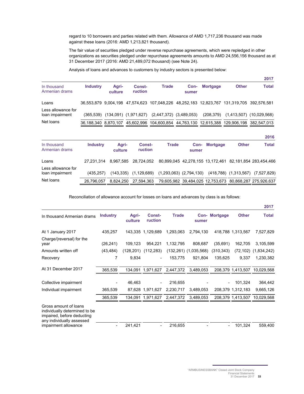regard to 10 borrowers and parties related with them. Allowance of AMD 1,717,236 thousand was made against these loans (2016: AMD 1,213,821 thousand).

The fair value of securities pledged under reverse repurchase agreements, which were repledged in other organizations as securities pledged under repurchase agreements amounts to AMD 24,556,156 thousand as at 31 December 2017 (2016: AMD 21,489,072 thousand) (see Note 24).

Analysis of loans and advances to customers by industry sectors is presented below:

|                                       |                 |                  |                          |                                                                   |               |                 |                                                                                           | 2017                                                                                      |
|---------------------------------------|-----------------|------------------|--------------------------|-------------------------------------------------------------------|---------------|-----------------|-------------------------------------------------------------------------------------------|-------------------------------------------------------------------------------------------|
| In thousand<br>Armenian drams         | <b>Industry</b> | Agri-<br>culture | <b>Const-</b><br>ruction | <b>Trade</b>                                                      | Con-<br>sumer | <b>Mortgage</b> | <b>Other</b>                                                                              | Total                                                                                     |
| Loans                                 |                 |                  |                          |                                                                   |               |                 | 36,553,879 9,004,198 47,574,623 107,048,226 48,252,183 12,823,767 131,319,705 392,576,581 |                                                                                           |
| Less allowance for<br>loan impairment |                 |                  |                          | $(365,539)$ $(134,091)$ $(1,971,627)$ $(2,447,372)$ $(3,489,053)$ |               | (208, 379)      |                                                                                           | $(1,413,507)$ $(10,029,568)$                                                              |
| Net loans                             |                 |                  |                          |                                                                   |               |                 |                                                                                           | 36,188,340 8,870,107 45,602,996 104,600,854 44,763,130 12,615,388 129,906,198 382,547,013 |

|                                       |                 |                  |                   |                             |               |                 |              | 2016                                                    |
|---------------------------------------|-----------------|------------------|-------------------|-----------------------------|---------------|-----------------|--------------|---------------------------------------------------------|
| In thousand<br>Armenian drams         | <b>Industry</b> | Agri-<br>culture | Const-<br>ruction | Trade                       | Con-<br>sumer | <b>Mortgage</b> | <b>Other</b> | <b>Total</b>                                            |
| Loans                                 | 27.231.314      | 8.967.585        | 28.724.052        |                             |               |                 |              | 80,899,045 42,278,155 13,172,461 82,181,854 283,454,466 |
| Less allowance for<br>loan impairment | (435.257)       | (143.335)        | (1, 129, 689)     | $(1,293,063)$ $(2,794,130)$ |               |                 |              | (418,788) (1,313,567) (7,527,829)                       |
| Net loans                             | 26.796.057      | 8.824.250        | 27,594,363        |                             |               |                 |              | 79,605,982 39,484,025 12,753,673 80,868,287 275,926,637 |
|                                       |                 |                  |                   |                             |               |                 |              |                                                         |

Reconciliation of allowance account for losses on loans and advances by class is as follows:

|                                                                                                                                           |                 |                  |                          |              |                           |                      |                   | 2017                         |
|-------------------------------------------------------------------------------------------------------------------------------------------|-----------------|------------------|--------------------------|--------------|---------------------------|----------------------|-------------------|------------------------------|
| In thousand Armenian drams                                                                                                                | <b>Industry</b> | Agri-<br>culture | <b>Const-</b><br>ruction | <b>Trade</b> | sumer                     | <b>Con-</b> Mortgage | <b>Other</b>      | <b>Total</b>                 |
| At 1 January 2017                                                                                                                         | 435,257         |                  | 143,335 1,129,689        | 1,293,063    | 2,794,130                 |                      | 418,788 1,313,567 | 7,527,829                    |
| Charge/(reversal) for the<br>year                                                                                                         | (26, 241)       | 109,123          | 954,221                  | 1,132,795    | 808,687                   | (35,691)             | 162,705           | 3,105,599                    |
| Amounts written off                                                                                                                       | (43, 484)       | (128,201)        | (112, 283)               |              | $(132,261)$ $(1,035,568)$ | (310, 343)           |                   | $(72, 102)$ $(1, 834, 242)$  |
| Recovery                                                                                                                                  | 7               | 9,834            | Ξ.                       | 153,775      | 921,804                   | 135,625              | 9,337             | 1,230,382                    |
| At 31 December 2017                                                                                                                       | 365,539         |                  | 134,091 1,971,627        | 2,447,372    | 3,489,053                 |                      | 208,379 1,413,507 | 10,029,568                   |
| Collective impairment                                                                                                                     |                 | 46,463           | $\overline{\phantom{a}}$ | 216,655      |                           |                      | 101,324           | 364,442                      |
| Individual impairment                                                                                                                     | 365,539         |                  | 87,628 1,971,627         | 2,230,717    | 3,489,053                 |                      | 208,379 1,312,183 | 9,665,126                    |
|                                                                                                                                           | 365,539         |                  | 134,091 1,971,627        | 2,447,372    | 3,489,053                 |                      |                   | 208,379 1,413,507 10,029,568 |
| Gross amount of loans<br>individually determined to be<br>impaired, before deducting<br>any individually assessed<br>impairment allowance |                 | 241.421          |                          | 216.655      |                           |                      | 101.324           | 559.400                      |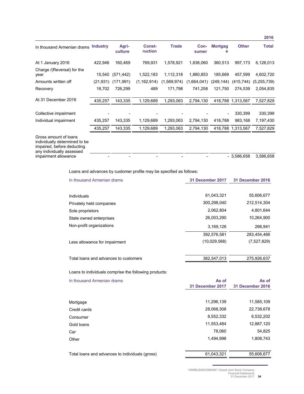|                                                                                                                                           |                 |                  |                          |              |               |                     |                   | 2016         |
|-------------------------------------------------------------------------------------------------------------------------------------------|-----------------|------------------|--------------------------|--------------|---------------|---------------------|-------------------|--------------|
| In thousand Armenian drams                                                                                                                | <b>Industry</b> | Agri-<br>culture | <b>Const-</b><br>ruction | <b>Trade</b> | Con-<br>sumer | <b>Mortgag</b><br>е | <b>Other</b>      | <b>Total</b> |
| At 1 January 2016                                                                                                                         | 422,946         | 160,469          | 769,931                  | 1,578,921    | 1,836,060     | 360,513             | 997,173           | 6,126,013    |
| Charge /(Reversal) for the<br>year                                                                                                        | 15,540          | (571, 442)       | 1,522,183                | 1,112,318    | 1,880,853     | 185,669             | 457,599           | 4,602,720    |
| Amounts written off                                                                                                                       | (21, 931)       | (171, 991)       | (1, 162, 914)            | (1,569,974)  | (1,664,041)   | (249, 144)          | (415,744)         | (5,255,739)  |
| Recovery                                                                                                                                  | 18,702          | 726,299          | 489                      | 171,798      | 741,258       | 121,750             | 274,539           | 2,054,835    |
| At 31 December 2016                                                                                                                       | 435,257         | 143,335          | 1,129,689                | 1,293,063    | 2,794,130     |                     | 418,788 1,313,567 | 7,527,829    |
| Collective impairment                                                                                                                     |                 |                  |                          |              |               |                     | 330,399           | 330,399      |
| Individual impairment                                                                                                                     | 435,257         | 143,335          | 1,129,689                | 1,293,063    | 2,794,130     | 418,788             | 983,168           | 7,197,430    |
|                                                                                                                                           | 435,257         | 143,335          | 1,129,689                | 1,293,063    | 2,794,130     |                     | 418,788 1,313,567 | 7,527,829    |
| Gross amount of loans<br>individually determined to be<br>impaired, before deducting<br>any individually assessed<br>impairment allowance |                 |                  |                          |              |               |                     | $-3,586,658$      | 3,586,658    |

Loans and advances by customer profile may be specified as follows:

| In thousand Armenian drams            | 31 December 2017 | <b>31 December 2016</b> |
|---------------------------------------|------------------|-------------------------|
|                                       | 61,043,321       | 55,606,677              |
| Individuals                           |                  |                         |
| Privately held companies              | 300,298,040      | 212,514,304             |
| Sole proprietors                      | 2,062,804        | 4,801,644               |
| State owned enterprises               | 26.003.290       | 10,264,900              |
| Non-profit organizations              | 3,169,126        | 266.941                 |
|                                       | 392,576,581      | 283,454,466             |
| Less allowance for impairment         | (10,029,568)     | (7,527,829)             |
| Total loans and advances to customers | 382,547,013      | 275,926,637             |
|                                       |                  |                         |

Loans to individuals comprise the following products:

| In thousand Armenian drams                      | As of<br>31 December 2017 | As of<br><b>31 December 2016</b> |  |
|-------------------------------------------------|---------------------------|----------------------------------|--|
|                                                 |                           |                                  |  |
| Mortgage                                        | 11,296,139                | 11,585,109                       |  |
| Credit cards                                    | 28,068,308                | 22,738,678                       |  |
| Consumer                                        | 8,552,332                 | 6,532,202                        |  |
| Gold loans                                      | 11,553,484                | 12,887,120                       |  |
| Car                                             | 78.060                    | 54,825                           |  |
| Other                                           | 1,494,998                 | 1,808,743                        |  |
| Total loans and advances to individuals (gross) | 61,043,321                | 55,606,677                       |  |

"ARMBUSINESSBANK" Closed Joint Stock Company Financial Statements 31 December 2017 **34**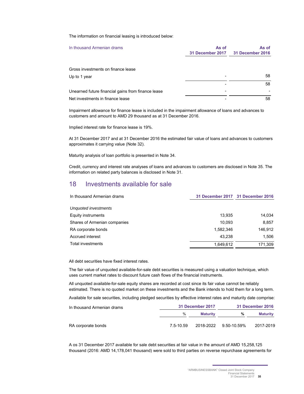The information on financial leasing is introduced below:

| In thousand Armenian drams                         | As of<br>31 December 2017 | As of<br>31 December 2016 |
|----------------------------------------------------|---------------------------|---------------------------|
| Gross investments on finance lease                 |                           |                           |
| Up to 1 year                                       |                           | 58                        |
|                                                    |                           | 58                        |
| Unearned future financial gains from finance lease |                           |                           |
| Net investments in finance lease                   |                           | 58                        |

Impairment allowance for finance lease is included in the impairment allowance of loans and advances to customers and amount to AMD 29 thousand as at 31 December 2016.

Implied interest rate for finance lease is 19%.

At 31 December 2017 and at 31 December 2016 the estimated fair value of loans and advances to customers approximates it carrying value (Note 32).

Maturity analysis of loan portfolio is presented in Note 34.

Credit, currency and interest rate analyses of loans and advances to customers are disclosed in Note 35. The information on related party balances is disclosed in Note 31.

## 18 Investments available for sale

| In thousand Armenian drams   |           | 31 December 2017 31 December 2016 |  |
|------------------------------|-----------|-----------------------------------|--|
|                              |           |                                   |  |
| Unquoted investments         |           |                                   |  |
| Equity instruments           | 13,935    | 14,034                            |  |
| Shares of Armenian companies | 10.093    | 8,857                             |  |
| RA corporate bonds           | 1,582,346 | 146,912                           |  |
| Accrued interest             | 43.238    | 1,506                             |  |
| <b>Total investments</b>     | 1.649.612 | 171,309                           |  |

All debt securities have fixed interest rates.

The fair value of unquoted available-for-sale debt securities is measured using a valuation technique, which uses current market rates to discount future cash flows of the financial instruments.

All unquoted available-for-sale equity shares are recorded at cost since its fair value cannot be reliably estimated. There is no quoted market on these investments and the Bank intends to hold them for a long term.

Available for sale securities, including pledged securities by effective interest rates and maturity date comprise:

| In thousand Armenian drams | 31 December 2017 | 31 December 2016 |             |           |
|----------------------------|------------------|------------------|-------------|-----------|
|                            | $\%$             | <b>Maturity</b>  | %           | Maturity  |
| RA corporate bonds         | 7.5-10.59        | 2018-2022        | 9.50-10.59% | 2017-2019 |

A os 31 December 2017 available for sale debt securities at fair value in the amount of AMD 15,258,125 thousand (2016: AMD 14,178,041 thousand) were sold to third parties on reverse repurchase agreements for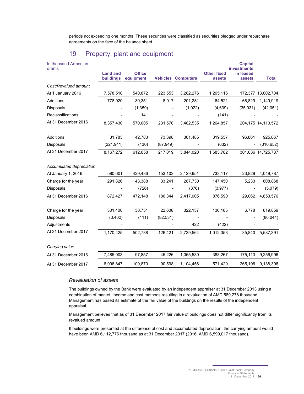periods not exceeding one months. These securities were classified as securities pledged under repurchase agreements on the face of the balance sheet.

## 19 Property, plant and equipment

| In thousand Armenian<br>drams |                              |                            |           |                           |                              | <b>Capital</b><br><b>investments</b> |                    |
|-------------------------------|------------------------------|----------------------------|-----------|---------------------------|------------------------------|--------------------------------------|--------------------|
|                               | <b>Land and</b><br>buildings | <b>Office</b><br>equipment |           | <b>Vehicles Computers</b> | <b>Other fixed</b><br>assets | in leased<br>assets                  | <b>Total</b>       |
| Cost/Revalued amount          |                              |                            |           |                           |                              |                                      |                    |
| At 1 January 2016             | 7,578,510                    | 540,872                    | 223,553   | 3,282,276                 | 1,205,116                    |                                      | 172,377 13,002,704 |
| Additions                     | 778,920                      | 30,351                     | 8,017     | 201,281                   | 64,521                       | 66,829                               | 1,149,919          |
| <b>Disposals</b>              |                              | (1, 359)                   |           | (1,022)                   | (4,639)                      | (35,031)                             | (42,051)           |
| Reclassifications             |                              | 141                        |           |                           | (141)                        |                                      |                    |
| At 31 December 2016           | 8,357,430                    | 570,005                    | 231,570   | 3,482,535                 | 1,264,857                    |                                      | 204,175 14,110,572 |
| <b>Additions</b>              | 31,783                       | 42,783                     | 73,398    | 361,485                   | 319,557                      | 96,861                               | 925,867            |
| Disposals                     | (221, 941)                   | (130)                      | (87, 949) |                           | (632)                        |                                      | (310, 652)         |
| At 31 December 2017           | 8,167,272                    | 612,658                    | 217,019   | 3,844,020                 | 1,583,782                    |                                      | 301,036 14,725,787 |
| Accumulated depreciation      |                              |                            |           |                           |                              |                                      |                    |
| At January 1, 2016            | 580,601                      | 429,486                    | 153,103   | 2,129,651                 | 733,117                      | 23,829                               | 4,049,787          |
| Charge for the year           | 291,826                      | 43,388                     | 33,241    | 287,730                   | 147,450                      | 5,233                                | 808,868            |
| Disposals                     |                              | (726)                      |           | (376)                     | (3, 977)                     |                                      | (5,079)            |
| At 31 December 2016           | 872,427                      | 472,148                    | 186,344   | 2,417,005                 | 876,590                      | 29,062                               | 4,853,576          |
| Charge for the year           | 301,400                      | 30,751                     | 22,608    | 322,137                   | 136,185                      | 6,778                                | 819,859            |
| <b>Disposals</b>              | (3, 402)                     | (111)                      | (82, 531) |                           |                              |                                      | (86, 044)          |
| Adjustments                   |                              |                            |           | 422                       | (422)                        |                                      |                    |
| At 31 December 2017           | 1,170,425                    | 502,788                    | 126,421   | 2,739,564                 | 1,012,353                    | 35,840                               | 5,587,391          |
| Carrying value                |                              |                            |           |                           |                              |                                      |                    |
| At 31 December 2016           | 7,485,003                    | 97,857                     | 45,226    | 1,065,530                 | 388,267                      | 175,113                              | 9,256,996          |
| At 31 December 2017           | 6,996,847                    | 109,870                    | 90,598    | 1,104,456                 | 571.429                      | 265,196                              | 9,138,396          |

## *Revaluation of assets*

The buildings owned by the Bank were evaluated by an independent appraiser at 31 December 2013 using a combination of market, income and cost methods resulting in a revaluation of AMD 589,278 thousand. Management has based its estimate of the fair value of the buildings on the results of the independent appraisal.

Management believes that as of 31 December 2017 fair value of buildings does not differ significantly from its revalued amount.

If buildings were presented at the difference of cost and accumulated depreciation, the carrying amount would have been AMD 6,112,776 thousand as at 31 December 2017 (2016: AMD 6,599,017 thousand).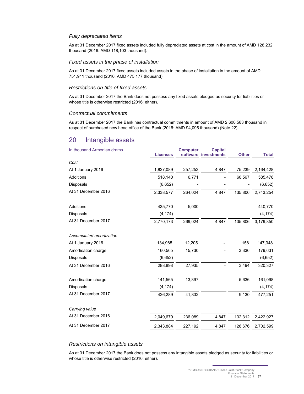#### *Fully depreciated items*

As at 31 December 2017 fixed assets included fully depreciated assets at cost in the amount of AMD 128,232 thousand (2016: AMD 118,103 thousand).

#### *Fixed assets in the phase of installation*

As at 31 December 2017 fixed assets included assets in the phase of installation in the amount of AMD 751,911 thousand (2016: AMD 475,177 thousand).

### *Restrictions on title of fixed assets*

As at 31 December 2017 the Bank does not possess any fixed assets pledged as security for liabilities or whose title is otherwise restricted (2016: either).

#### *Contractual commitments*

As at 31 December 2017 the Bank has contractual commitments in amount of AMD 2,600,583 thousand in respect of purchased new head office of the Bank (2016: AMD 94,095 thousand) (Note 22).

## 20 Intangible assets

| In thousand Armenian drams | <b>Licenses</b> | <b>Computer</b> | <b>Capital</b><br>software investments | <b>Other</b> | <b>Total</b> |
|----------------------------|-----------------|-----------------|----------------------------------------|--------------|--------------|
| Cost                       |                 |                 |                                        |              |              |
| At 1 January 2016          | 1,827,089       | 257,253         | 4,847                                  | 75,239       | 2,164,428    |
| Additions                  | 518,140         | 6,771           |                                        | 60,567       | 585,478      |
| <b>Disposals</b>           | (6.652)         |                 |                                        |              | (6.652)      |
| At 31 December 2016        | 2,338,577       | 264,024         | 4,847                                  | 135,806      | 2,743,254    |
| Additions                  | 435,770         | 5,000           |                                        |              | 440,770      |
| <b>Disposals</b>           | (4, 174)        |                 |                                        |              | (4, 174)     |
| At 31 December 2017        | 2,770,173       | 269,024         | 4,847                                  | 135,806      | 3,179,850    |
| Accumulated amortization   |                 |                 |                                        |              |              |
| At 1 January 2016          | 134,985         | 12,205          |                                        | 158          | 147,348      |
| Amortisation charge        | 160,565         | 15,730          |                                        | 3,336        | 179,631      |
| Disposals                  | (6,652)         |                 |                                        |              | (6,652)      |
| At 31 December 2016        | 288,898         | 27,935          |                                        | 3,494        | 320,327      |
| Amortisation charge        | 141,565         | 13,897          |                                        | 5,636        | 161,098      |
| <b>Disposals</b>           | (4, 174)        |                 |                                        |              | (4, 174)     |
| At 31 December 2017        | 426,289         | 41,832          |                                        | 9,130        | 477,251      |
| Carrying value             |                 |                 |                                        |              |              |
| At 31 December 2016        | 2,049,679       | 236,089         | 4,847                                  | 132,312      | 2,422,927    |
| At 31 December 2017        | 2,343,884       | 227,192         | 4,847                                  | 126,676      | 2,702,599    |

#### *Restrictions on intangible assets*

As at 31 December 2017 the Bank does not possess any intangible assets pledged as security for liabilities or whose title is otherwise restricted (2016: either).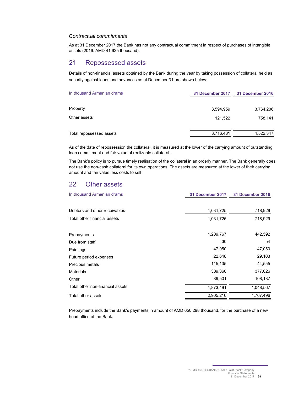#### *Contractual commitments*

As at 31 December 2017 the Bank has not any contractual commitment in respect of purchases of intangible assets (2016: AMD 41,625 thousand).

## 21 Repossessed assets

Details of non-financial assets obtained by the Bank during the year by taking possession of collateral held as security against loans and advances as at December 31 are shown below:

| In thousand Armenian drams | 31 December 2017 | 31 December 2016 |
|----------------------------|------------------|------------------|
| Property                   | 3,594,959        | 3,764,206        |
| Other assets               | 121,522          | 758.141          |
| Total repossessed assets   | 3,716,481        | 4,522,347        |

As of the date of repossession the collateral, it is measured at the lower of the carrying amount of outstanding loan commitment and fair value of realizable collateral.

The Bank's policy is to pursue timely realisation of the collateral in an orderly manner. The Bank generally does not use the non-cash collateral for its own operations. The assets are measured at the lower of their carrying amount and fair value less costs to sell

## 22 Other assets

| In thousand Armenian drams       | 31 December 2017 | <b>31 December 2016</b> |
|----------------------------------|------------------|-------------------------|
| Debtors and other receivables    | 1,031,725        | 718,929                 |
| Total other financial assets     | 1,031,725        | 718,929                 |
| Prepayments                      | 1,209,767        | 442,592                 |
| Due from staff                   | 30               | 54                      |
| Paintings                        | 47,050           | 47,050                  |
| Future period expenses           | 22,648           | 29,103                  |
| Precious metals                  | 115,135          | 44,555                  |
| <b>Materials</b>                 | 389,360          | 377,026                 |
| Other                            | 89,501           | 108,187                 |
| Total other non-financial assets | 1,873,491        | 1,048,567               |
| Total other assets               | 2,905,216        | 1,767,496               |

Prepayments include the Bank's payments in amount of AMD 650,298 thousand, for the purchase of a new head office of the Bank.

"ARMBUSINESSBANK" Closed Joint Stock Company Financial Statements 31 December 2017 **38**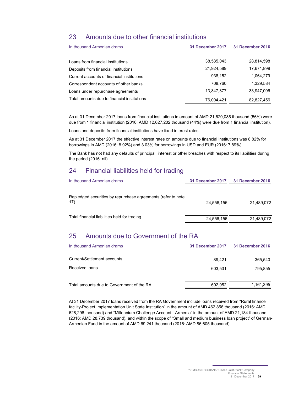## 23 Amounts due to other financial institutions

| In thousand Armenian drams                  | 31 December 2017 | 31 December 2016 |
|---------------------------------------------|------------------|------------------|
| Loans from financial institutions           | 38,585,043       | 28,814,598       |
| Deposits from financial institutions        | 21,924,589       | 17,671,899       |
| Current accounts of financial institutions  | 938,152          | 1,064,279        |
| Correspondent accounts of other banks       | 708.760          | 1,329,584        |
| Loans under repurchase agreements           | 13,847,877       | 33,947,096       |
| Total amounts due to financial institutions | 76,004,421       | 82,827,456       |

As at 31 December 2017 loans from financial institutions in amount of AMD 21,620,085 thousand (56%) were due from 1 financial institution (2016: AMD 12,627,202 thousand (44%) were due from 1 financial institution).

Loans and deposits from financial institutions have fixed interest rates.

As at 31 December 2017 the effective interest rates on amounts due to financial institutions was 8.82% for borrowings in AMD (2016: 8.92%) and 3.03% for borrowings in USD and EUR (2016: 7.89%).

The Bank has not had any defaults of principal, interest or other breaches with respect to its liabilities during the period (2016: nil).

## 24 Financial liabilities held for trading

| In thousand Armenian drams                                          | 31 December 2017 | 31 December 2016 |
|---------------------------------------------------------------------|------------------|------------------|
| Repledged securities by repurchase agreements (refer to note<br>17) | 24.556.156       | 21.489.072       |
| Total financial liabilities held for trading                        | 24,556,156       | 21,489,072       |

## 25 Amounts due to Government of the RA

| In thousand Armenian drams                | 31 December 2017 | <b>31 December 2016</b> |  |
|-------------------------------------------|------------------|-------------------------|--|
| Current/Settlement accounts               | 89.421           | 365.540                 |  |
| Received loans                            | 603.531          | 795.855                 |  |
| Total amounts due to Government of the RA | 692,952          | 1,161,395               |  |

At 31 December 2017 loans received from the RA Government include loans received from "Rural finance facility-Project Implementation Unit State Institution" in the amount of AMD 462,856 thousand (2016: AMD 628,296 thousand) and "Millennium Challenge Account - Armenia" in the amount of AMD 21,184 thousand (2016: AMD 28,739 thousand), and within the scope of "Small and medium business loan project" of German-Armenian Fund in the amount of AMD 69,241 thousand (2016: AMD 86,605 thousand).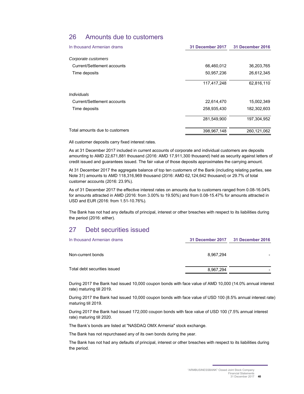## 26 Amounts due to customers

| In thousand Armenian drams     | 31 December 2017 | 31 December 2016 |  |
|--------------------------------|------------------|------------------|--|
| Corporate customers            |                  |                  |  |
| Current/Settlement accounts    | 66,460,012       | 36,203,765       |  |
| Time deposits                  | 50,957,236       | 26,612,345       |  |
|                                | 117,417,248      | 62,816,110       |  |
| Individuals                    |                  |                  |  |
| Current/Settlement accounts    | 22,614,470       | 15,002,349       |  |
| Time deposits                  | 258,935,430      | 182,302,603      |  |
|                                | 281,549,900      | 197,304,952      |  |
| Total amounts due to customers | 398,967,148      | 260,121,062      |  |

All customer deposits carry fixed interest rates.

As at 31 December 2017 included in current accounts of corporate and individual customers are deposits amounting to AMD 22,671,881 thousand (2016: AMD 17,911,300 thousand) held as security against letters of credit issued and guarantees issued. The fair value of those deposits approximates the carrying amount.

At 31 December 2017 the aggregate balance of top ten customers of the Bank (including relating parties, see Note 31) amounts to AMD 118,316,969 thousand (2016: AMD 62,124,642 thousand) or 29.7% of total customer accounts (2016: 23.9%).

As of 31 December 2017 the effective interest rates on amounts due to customers ranged from 0.08-16.04% for amounts attracted in AMD (2016: from 3.00% to 19.50%) and from 0.08-15.47% for amounts attracted in USD and EUR (2016: from 1.51-10.76%)*.* 

The Bank has not had any defaults of principal, interest or other breaches with respect to its liabilities during the period (2016: either).

## 27 Debt securities issued

| In thousand Armenian drams   |           | 31 December 2017 31 December 2016 |  |
|------------------------------|-----------|-----------------------------------|--|
| Non-current bonds            | 8.967.294 |                                   |  |
| Total debt securities issued | 8,967,294 |                                   |  |

During 2017 the Bank had issued 10,000 coupon bonds with face value of AMD 10,000 (14.0% annual interest rate) maturing till 2019.

During 2017 the Bank had issued 10,000 coupon bonds with face value of USD 100 (8.5% annual interest rate) maturing till 2019.

During 2017 the Bank had issued 172,000 coupon bonds with face value of USD 100 (7.5% annual interest rate) maturing till 2020.

The Bank's bonds are listed at "NASDAQ OMX Armenia" stock exchange.

The Bank has not repurchased any of its own bonds during the year.

The Bank has not had any defaults of principal, interest or other breaches with respect to its liabilities during the period.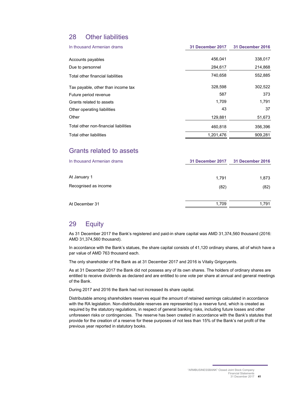## 28 Other liabilities

| In thousand Armenian drams            | 31 December 2017 | <b>31 December 2016</b> |  |
|---------------------------------------|------------------|-------------------------|--|
| Accounts payables                     | 456,041          | 338,017                 |  |
| Due to personnel                      | 284,617          | 214,868                 |  |
| Total other financial liabilities     | 740,658          | 552,885                 |  |
| Tax payable, other than income tax    | 328.598          | 302,522                 |  |
| Future period revenue                 | 587              | 373                     |  |
| Grants related to assets              | 1,709            | 1,791                   |  |
| Other operating liabilities           | 43               | 37                      |  |
| Other                                 | 129,881          | 51,673                  |  |
| Total other non-financial liabilities | 460,818          | 356,396                 |  |
| Total other liabilities               | 1,201,476        | 909.281                 |  |

## Grants related to assets

| In thousand Armenian drams | 31 December 2017<br>31 December 2016 |       |  |
|----------------------------|--------------------------------------|-------|--|
| At January 1               | 1,791                                | 1,873 |  |
| Recognised as income       | (82)                                 | (82)  |  |
| At December 31             | 1.709                                | 1.791 |  |

## 29 Equity

As 31 December 2017 the Bank's registered and paid-in share capital was AMD 31,374,560 thousand (2016: AMD 31,374,560 thousand).

In accordance with the Bank's statues, the share capital consists of 41,120 ordinary shares, all of which have a par value of AMD 763 thousand each.

The only shareholder of the Bank as at 31 December 2017 and 2016 is Vitaliy Grigoryants.

As at 31 December 2017 the Bank did not possess any of its own shares. The holders of ordinary shares are entitled to receive dividends as declared and are entitled to one vote per share at annual and general meetings of the Bank.

During 2017 and 2016 the Bank had not increased its share capital.

Distributable among shareholders reserves equal the amount of retained earnings calculated in accordance with the RA legislation. Non-distributable reserves are represented by a reserve fund, which is created as required by the statutory regulations, in respect of general banking risks, including future losses and other unforeseen risks or contingencies. The reserve has been created in accordance with the Bank's statutes that provide for the creation of a reserve for these purposes of not less than 15% of the Bank's net profit of the previous year reported in statutory books.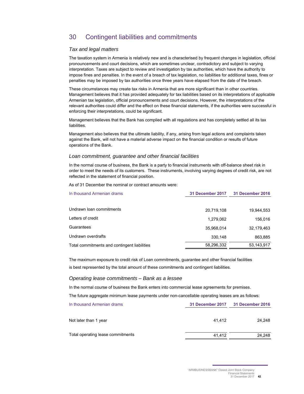## 30 Contingent liabilities and commitments

### *Tax and legal matters*

The taxation system in Armenia is relatively new and is characterised by frequent changes in legislation, official pronouncements and court decisions, which are sometimes unclear, contradictory and subject to varying interpretation. Taxes are subject to review and investigation by tax authorities, which have the authority to impose fines and penalties. In the event of a breach of tax legislation, no liabilities for additional taxes, fines or penalties may be imposed by tax authorities once three years have elapsed from the date of the breach.

These circumstances may create tax risks in Armenia that are more significant than in other countries. Management believes that it has provided adequately for tax liabilities based on its interpretations of applicable Armenian tax legislation, official pronouncements and court decisions. However, the interpretations of the relevant authorities could differ and the effect on these financial statements, if the authorities were successful in enforcing their interpretations, could be significant.

Management believes that the Bank has complied with all regulations and has completely settled all its tax liabilities.

Management also believes that the ultimate liability, if any, arising from legal actions and complaints taken against the Bank, will not have a material adverse impact on the financial condition or results of future operations of the Bank.

#### *Loan commitment, guarantee and other financial facilities*

In the normal course of business, the Bank is a party to financial instruments with off-balance sheet risk in order to meet the needs of its customers. These instruments, involving varying degrees of credit risk, are not reflected in the statement of financial position.

As of 31 December the nominal or contract amounts were:

| In thousand Armenian drams                   | 31 December 2017 | 31 December 2016 |
|----------------------------------------------|------------------|------------------|
|                                              |                  |                  |
| Undrawn Ioan commitments                     | 20.719.108       | 19.944.553       |
| Letters of credit                            | 1,279,062        | 156,016          |
| Guarantees                                   | 35,968,014       | 32,179,463       |
| Undrawn overdrafts                           | 330.148          | 863,885          |
| Total commitments and contingent liabilities | 58,296,332       | 53,143,917       |

The maximum exposure to credit risk of Loan commitments, guarantee and other financial facilities is best represented by the total amount of these commitments and contingent liabilities.

#### *Operating lease commitments – Bank as a lessee*

In the normal course of business the Bank enters into commercial lease agreements for premises.

The future aggregate minimum lease payments under non-cancellable operating leases are as follows:

| In thousand Armenian drams        | 31 December 2017<br><b>31 December 2016</b> |        |  |  |
|-----------------------------------|---------------------------------------------|--------|--|--|
| Not later than 1 year             | 41.412                                      | 24.248 |  |  |
| Total operating lease commitments | 41.412                                      | 24.248 |  |  |

"ARMBUSINESSBANK" Closed Joint Stock Company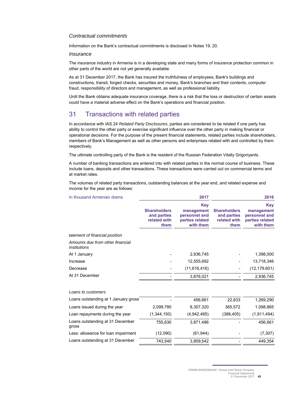### *Contractual commitments*

Information on the Bank's contractual commitments is disclosed in Notes 19, 20.

#### *Insurance*

The insurance industry in Armenia is in a developing state and many forms of insurance protection common in other parts of the world are not yet generally available.

As at 31 December 2017, the Bank has insured the truthfulness of employees, Bank's buildings and constructions, transit, forged checks, securities and money, Bank's branches and their contents, computer fraud, responsibility of directors and management, as well as professional liability.

Until the Bank obtains adequate insurance coverage, there is a risk that the loss or destruction of certain assets could have a material adverse effect on the Bank's operations and financial position.

## 31 Transactions with related parties

In accordance with IAS 24 *Related Party Disclosures*, parties are considered to be related if one party has ability to control the other party or exercise significant influence over the other party in making financial or operational decisions. For the purpose of the present financial statements, related parties include shareholders, members of Bank's Management as well as other persons and enterprises related with and controlled by them respectively.

The ultimate controlling party of the Bank is the resident of the Russian Federation Vitally Grigoriyants.

A number of banking transactions are entered into with related parties in the normal course of business. These include loans, deposits and other transactions. These transactions were carried out on commercial terms and at market rates.

The volumes of related party transactions, outstanding balances at the year end, and related expense and income for the year are as follows:

| In thousand Armenian drams                              |                                                            | 2017                                                               |                                                            | 2016                                                                      |
|---------------------------------------------------------|------------------------------------------------------------|--------------------------------------------------------------------|------------------------------------------------------------|---------------------------------------------------------------------------|
|                                                         | <b>Shareholders</b><br>and parties<br>related with<br>them | Key<br>management<br>personnel and<br>parties related<br>with them | <b>Shareholders</b><br>and parties<br>related with<br>them | <b>Key</b><br>management<br>personnel and<br>parties related<br>with them |
| tatement of financial position                          |                                                            |                                                                    |                                                            |                                                                           |
| Amounts due from other financial<br><i>institutions</i> |                                                            |                                                                    |                                                            |                                                                           |
| At 1 January                                            |                                                            | 2,936,745                                                          |                                                            | 1,398,000                                                                 |
| Increase                                                |                                                            | 12,555,692                                                         |                                                            | 13,718,346                                                                |
| Decrease                                                |                                                            | (11,616,416)                                                       |                                                            | (12, 179, 601)                                                            |
| At 31 December                                          |                                                            | 3,876,021                                                          |                                                            | 2,936,745                                                                 |
| Loans to customers                                      |                                                            |                                                                    |                                                            |                                                                           |
| Loans outstanding at 1 January gross                    |                                                            | 456,661                                                            | 22,833                                                     | 1,269,290                                                                 |
| Loans issued during the year                            | 2,099,780                                                  | 8,357,320                                                          | 365,572                                                    | 1,098,865                                                                 |
| Loan repayments during the year                         | (1,344,150)                                                | (4,942,495)                                                        | (388, 405)                                                 | (1,911,494)                                                               |
| Loans outstanding at 31 December<br>gross               | 755,630                                                    | 3.871.486                                                          |                                                            | 456,661                                                                   |
| Less: allowance for loan impairment                     | (12,090)                                                   | (61, 944)                                                          |                                                            | (7, 307)                                                                  |
| Loans outstanding at 31 December                        | 743,540                                                    | 3,809,542                                                          |                                                            | 449,354                                                                   |
|                                                         |                                                            |                                                                    |                                                            |                                                                           |

31 December 2017 **43**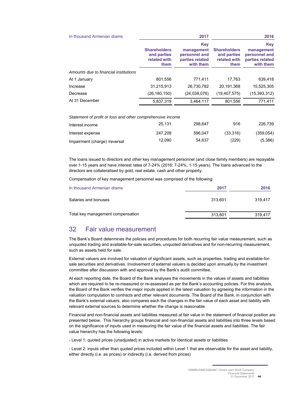| In thousand Armenian drams                                 |                                                            | 2017                                                                      |                                                            | 2016                                                               |
|------------------------------------------------------------|------------------------------------------------------------|---------------------------------------------------------------------------|------------------------------------------------------------|--------------------------------------------------------------------|
|                                                            | <b>Shareholders</b><br>and parties<br>related with<br>them | <b>Key</b><br>management<br>personnel and<br>parties related<br>with them | <b>Shareholders</b><br>and parties<br>related with<br>them | Key<br>management<br>personnel and<br>parties related<br>with them |
| Amounts due to financial institutions                      |                                                            |                                                                           |                                                            |                                                                    |
| At 1 January                                               | 801,556                                                    | 771,411                                                                   | 17.763                                                     | 639,418                                                            |
| Increase                                                   | 31.215.913                                                 | 26.730.782                                                                | 20.191.368                                                 | 15,525,305                                                         |
| Decrease                                                   | (26, 180, 150)                                             | (24,038,076)                                                              | (19, 407, 575)                                             | (15, 393, 312)                                                     |
| At 31 December                                             | 5,837,319                                                  | 3,464,117                                                                 | 801,556                                                    | 771,411                                                            |
| Statement of profit or loss and other comprehensive income |                                                            |                                                                           |                                                            |                                                                    |
| Interest income                                            | 25,131                                                     | 298,647                                                                   | 916                                                        | 226,739                                                            |

| Interest expense              | 247.209 | 596.047 | (33.316) | (359, 054) |
|-------------------------------|---------|---------|----------|------------|
| Impairment (charge) /reversal | 12.090  | 54.637  | (229)    | (5,386)    |

The loans issued to directors and other key management personnel (and close family members) are repayable over 1-15 years and have interest rates of 7-24% (2016: 7-24%, 1-15 years). The loans advanced to the directors are collateralised by gold, real estate, cash and other property.

Compensation of key management personnel was comprised of the following:

| In thousand Armenian drams        | 2017    | 2016    |
|-----------------------------------|---------|---------|
| Salaries and bonuses              | 313.601 | 319.417 |
| Total key management compensation | 313,601 | 319,417 |

## 32 Fair value measurement

The Bank's Board determines the policies and procedures for both recurring fair value measurement, such as unquoted trading and available-for-sale securities, unquoted derivatives and for non-recurring measurement, such as assets held for sale.

External valuers are involved for valuation of significant assets, such as properties, trading and available-forsale securities and derivatives. Involvement of external valuers is decided upon annually by the investment committee after discussion with and approval by the Bank's audit committee.

At each reporting date, the Board of the Bank analyses the movements in the values of assets and liabilities which are required to be re-measured or re-assessed as per the Bank's accounting policies. For this analysis, the Board of the Bank verifies the major inputs applied in the latest valuation by agreeing the information in the valuation computation to contracts and other relevant documents. The Board of the Bank, in conjunction with the Bank's external valuers, also compares each the changes in the fair value of each asset and liability with relevant external sources to determine whether the change is reasonable.

Financial and non-financial assets and liabilities measured at fair value in the statement of financial position are presented below. This hierarchy groups financial and non-financial assets and liabilities into three levels based on the significance of inputs used in measuring the fair value of the financial assets and liabilities. The fair value hierarchy has the following levels:

- Level 1: quoted prices (unadjusted) in active markets for identical assets or liabilities

- Level 2: inputs other than quoted prices included within Level 1 that are observable for the asset and liability, either directly (i.e. as prices) or indirectly (i.e. derived from prices)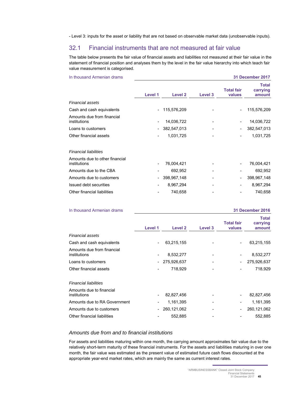- Level 3: inputs for the asset or liability that are not based on observable market data (unobservable inputs).

## 32.1 Financial instruments that are not measured at fair value

The table below presents the fair value of financial assets and liabilities not measured at their fair value in the statement of financial position and analyses them by the level in the fair value hierarchy into which teach fair value measurement is categorised.

|         |             |         |                             | 31 December 2017                   |
|---------|-------------|---------|-----------------------------|------------------------------------|
| Level 1 | Level 2     | Level 3 | <b>Total fair</b><br>values | <b>Total</b><br>carrying<br>amount |
|         |             |         |                             |                                    |
|         | 115,576,209 |         | $\overline{\phantom{a}}$    | 115,576,209                        |
|         | 14,036,722  |         |                             | 14,036,722                         |
|         | 382,547,013 |         |                             | 382,547,013                        |
|         | 1,031,725   |         |                             | 1,031,725                          |
|         |             |         |                             |                                    |
|         | 76,004,421  |         |                             | 76,004,421                         |
|         | 692,952     |         |                             | 692,952                            |
|         | 398,967,148 |         | $\overline{\phantom{m}}$    | 398,967,148                        |
|         | 8,967,294   |         |                             | 8,967,294                          |
|         | 740,658     |         |                             | 740,658                            |
|         |             |         |                             |                                    |

| In thousand Armenian drams                 |                              |             |         |                              | <b>31 December 2016</b>            |
|--------------------------------------------|------------------------------|-------------|---------|------------------------------|------------------------------------|
|                                            | Level 1                      | Level 2     | Level 3 | <b>Total fair</b><br>values  | <b>Total</b><br>carrying<br>amount |
| Financial assets                           |                              |             |         |                              |                                    |
| Cash and cash equivalents                  | ۰                            | 63,215,155  |         | $\overline{\phantom{a}}$     | 63,215,155                         |
| Amounts due from financial<br>institutions | $\qquad \qquad \blacksquare$ | 8,532,277   |         | $\overline{\phantom{a}}$     | 8,532,277                          |
| Loans to customers                         | $\overline{\phantom{a}}$     | 275,926,637 |         | $\qquad \qquad \blacksquare$ | 275,926,637                        |
| Other financial assets                     |                              | 718,929     |         |                              | 718,929                            |
| <b>Financial liabilities</b>               |                              |             |         |                              |                                    |
| Amounts due to financial<br>institutions   |                              | 82,827,456  |         | $\qquad \qquad \blacksquare$ | 82,827,456                         |
| Amounts due to RA Government               |                              | 1,161,395   |         | -                            | 1,161,395                          |
| Amounts due to customers                   | $\overline{\phantom{0}}$     | 260,121,062 |         | $\qquad \qquad \blacksquare$ | 260,121,062                        |
| Other financial liabilities                |                              | 552,885     |         |                              | 552,885                            |

#### *Amounts due from and to financial institutions*

For assets and liabilities maturing within one month, the carrying amount approximates fair value due to the relatively short-term maturity of these financial instruments. For the assets and liabilities maturing in over one month, the fair value was estimated as the present value of estimated future cash flows discounted at the appropriate year-end market rates, which are mainly the same as current interest rates.

<sup>31</sup> December 2017 **45**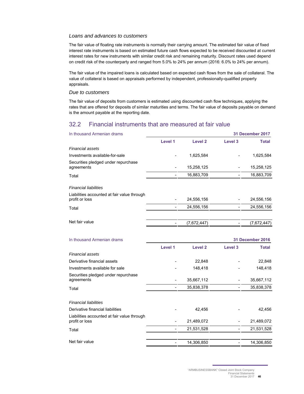### *Loans and advances to customers*

The fair value of floating rate instruments is normally their carrying amount. The estimated fair value of fixed interest rate instruments is based on estimated future cash flows expected to be received discounted at current interest rates for new instruments with similar credit risk and remaining maturity. Discount rates used depend on credit risk of the counterparty and ranged from 5.0% to 24% per annum (2016: 6.0% to 24% per annum).

The fair value of the impaired loans is calculated based on expected cash flows from the sale of collateral. The value of collateral is based on appraisals performed by independent, professionally-qualified property appraisals.

#### *Due to customers*

The fair value of deposits from customers is estimated using discounted cash flow techniques, applying the rates that are offered for deposits of similar maturities and terms. The fair value of deposits payable on demand is the amount payable at the reporting date.

## 32.2 Financial instruments that are measured at fair value

| In thousand Armenian drams                                    | 31 December 2017 |                |                    |                  |
|---------------------------------------------------------------|------------------|----------------|--------------------|------------------|
|                                                               | Level 1          | <b>Level 2</b> | Level <sub>3</sub> | <b>Total</b>     |
| Financial assets                                              |                  |                |                    |                  |
| Investments available-for-sale                                |                  | 1,625,584      |                    | 1,625,584        |
| Securities pledged under repurchase<br>agreements             |                  | 15,258,125     |                    | 15,258,125       |
| Total                                                         |                  | 16,883,709     |                    | 16,883,709       |
| <b>Financial liabilities</b>                                  |                  |                |                    |                  |
| Liabilities accounted at fair value through<br>profit or loss |                  | 24,556,156     |                    | 24,556,156       |
| Total                                                         | $\overline{a}$   | 24,556,156     |                    | 24,556,156       |
| Net fair value                                                |                  | (7,672,447)    |                    | (7,672,447)      |
| In thousand Armenian drams                                    |                  |                |                    | 31 December 2016 |
|                                                               | Level 1          | <b>Level 2</b> | Level 3            | <b>Total</b>     |
| <b>Financial assets</b>                                       |                  |                |                    |                  |
| Derivative financial assets                                   |                  | 22,848         |                    | 22,848           |
| Investments available for sale                                |                  | 148,418        |                    | 148,418          |
| Securities pledged under repurchase<br>agreements             |                  | 35,667,112     |                    | 35,667,112       |
| Total                                                         |                  | 35,838,378     |                    | 35,838,378       |
| <b>Financial liabilities</b>                                  |                  |                |                    |                  |
| Derivative financial liabilities                              |                  | 42,456         |                    | 42,456           |
| Liabilities accounted at fair value through<br>profit or loss |                  | 21,489,072     |                    | 21,489,072       |
| Total                                                         |                  | 21,531,528     |                    | 21,531,528       |
| Net fair value                                                | $\frac{1}{2}$    | 14,306,850     |                    | 14,306,850       |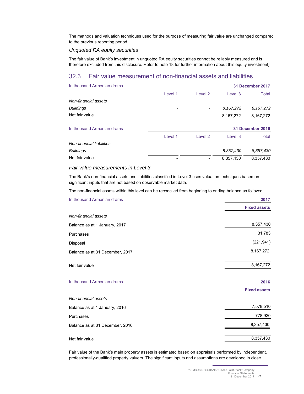The methods and valuation techniques used for the purpose of measuring fair value are unchanged compared to the previous reporting period.

#### *Unquoted RA equity securities*

The fair value of Bank's investment in unquoted RA equity securities cannot be reliably measured and is therefore excluded from this disclosure*.* Refer to note 18 for further information about this equity investment].

## 32.3 Fair value measurement of non-financial assets and liabilities

| In thousand Armenian drams | 31 December 2017 |                    |           |                  |  |  |
|----------------------------|------------------|--------------------|-----------|------------------|--|--|
|                            | Level 1          | Level <sub>2</sub> | Level 3   | Total            |  |  |
| Non-financial assets       |                  |                    |           |                  |  |  |
| <b>Buildings</b>           |                  |                    | 8.167,272 | 8,167,272        |  |  |
| Net fair value             |                  |                    | 8,167,272 | 8,167,272        |  |  |
| In thousand Armenian drams |                  |                    |           | 31 December 2016 |  |  |
|                            | Level 1          | Level <sub>2</sub> | Level 3   | Total            |  |  |
| Non-financial liabilities  |                  |                    |           |                  |  |  |
| <b>Buildings</b>           |                  |                    | 8,357,430 | 8,357,430        |  |  |
| Net fair value             |                  |                    | 8.357.430 | 8.357.430        |  |  |

#### *Fair value measurements in Level 3*

The Bank's non-financial assets and liabilities classified in Level 3 uses valuation techniques based on significant inputs that are not based on observable market data.

The non-financial assets within this level can be reconciled from beginning to ending balance as follows:

| In thousand Armenian drams      | 2017                        |  |  |
|---------------------------------|-----------------------------|--|--|
|                                 | <b>Fixed assets</b>         |  |  |
| Non-financial assets            |                             |  |  |
| Balance as at 1 January, 2017   | 8,357,430                   |  |  |
| Purchases                       | 31,783                      |  |  |
| Disposal                        | (221, 941)                  |  |  |
| Balance as at 31 December, 2017 | 8,167,272                   |  |  |
| Net fair value                  | 8,167,272                   |  |  |
| In thousand Armenian drams      | 2016<br><b>Fixed assets</b> |  |  |
| Non-financial assets            |                             |  |  |
| Balance as at 1 January, 2016   | 7,578,510                   |  |  |
| Purchases                       | 778,920                     |  |  |
| Balance as at 31 December, 2016 | 8,357,430                   |  |  |
| Net fair value                  | 8,357,430                   |  |  |

Fair value of the Bank's main property assets is estimated based on appraisals performed by independent, professionally-qualified property valuers. The significant inputs and assumptions are developed in close

31 December 2017 **47**

<sup>&</sup>quot;ARMBUSINESSBANK" Closed Joint Stock Company Financial Statements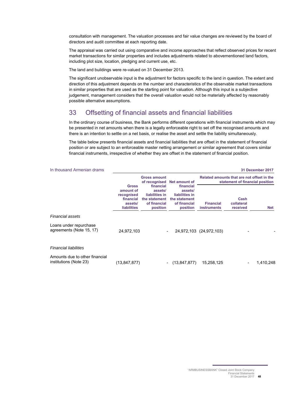consultation with management. The valuation processes and fair value changes are reviewed by the board of directors and audit committee at each reporting date.

The appraisal was carried out using comparative and income approaches that reflect observed prices for recent market transactions for similar properties and includes adjustments related to abovementioned land factors, including plot size, location, pledging and current use, etc.

The land and buildings were re-valued on 31 December 2013.

The significant unobservable input is the adjustment for factors specific to the land in question. The extent and direction of this adjustment depends on the number and characteristics of the observable market transactions in similar properties that are used as the starting point for valuation. Although this input is a subjective judgement, management considers that the overall valuation would not be materially affected by reasonably possible alternative assumptions.

## 33 Offsetting of financial assets and financial liabilities

In the ordinary course of business, the Bank performs different operations with financial instruments which may be presented in net amounts when there is a legally enforceable right to set off the recognised amounts and there is an intention to settle on a net basis, or realise the asset and settle the liability simultaneously.

The table below presents financial assets and financial liabilities that are offset in the statement of financial position or are subject to an enforceable master netting arrangement or similar agreement that covers similar financial instruments, irrespective of whether they are offset in the statement of financial position.

| In thousand Armenian drams                               |                                                                                |                                                                                     |                                                                                     |                                                                               |                                | 31 December 2017 |
|----------------------------------------------------------|--------------------------------------------------------------------------------|-------------------------------------------------------------------------------------|-------------------------------------------------------------------------------------|-------------------------------------------------------------------------------|--------------------------------|------------------|
|                                                          |                                                                                | <b>Gross amount</b><br>of recognised                                                | Net amount of                                                                       | Related amounts that are not offset in the<br>statement of financial position |                                |                  |
|                                                          | <b>Gross</b><br>amount of<br>recognised<br>financial<br>assets/<br>liabilities | financial<br>assets/<br>liabilities in<br>the statement<br>of financial<br>position | financial<br>assets/<br>liabilities in<br>the statement<br>of financial<br>position | <b>Financial</b><br><b>instruments</b>                                        | Cash<br>collateral<br>received | <b>Net</b>       |
| <b>Financial assets</b>                                  |                                                                                |                                                                                     |                                                                                     |                                                                               |                                |                  |
| Loans under repurchase<br>agreements (Note 15, 17)       | 24,972,103                                                                     |                                                                                     |                                                                                     | 24,972,103 (24,972,103)                                                       |                                |                  |
| <b>Financial liabilities</b>                             |                                                                                |                                                                                     |                                                                                     |                                                                               |                                |                  |
| Amounts due to other financial<br>institutions (Note 23) | (13, 847, 877)                                                                 |                                                                                     | (13, 847, 877)                                                                      | 15,258,125                                                                    |                                | 1,410,248        |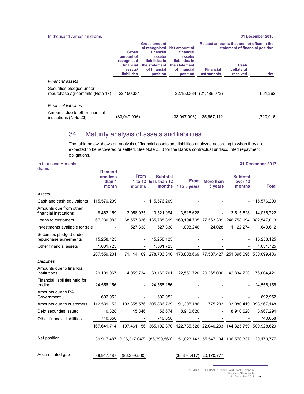| In thousand Armenian drams                                  |                                                                                       |                                                                                     |                                                                                     |                                                                               |                                | 31 December 2016 |
|-------------------------------------------------------------|---------------------------------------------------------------------------------------|-------------------------------------------------------------------------------------|-------------------------------------------------------------------------------------|-------------------------------------------------------------------------------|--------------------------------|------------------|
|                                                             |                                                                                       | <b>Gross amount</b>                                                                 | of recognised Net amount of                                                         | Related amounts that are not offset in the<br>statement of financial position |                                |                  |
|                                                             | <b>Gross</b><br>amount of<br>recognised<br>financial<br>assets/<br><b>liabilities</b> | financial<br>assets/<br>liabilities in<br>the statement<br>of financial<br>position | financial<br>assets/<br>liabilities in<br>the statement<br>of financial<br>position | <b>Financial</b><br><b>instruments</b>                                        | Cash<br>collateral<br>received | <b>Net</b>       |
| Financial assets                                            |                                                                                       |                                                                                     |                                                                                     |                                                                               |                                |                  |
| Securities pledged under<br>repurchase agreements (Note 17) | 22,150,334                                                                            |                                                                                     | 22,150,334                                                                          | (21, 489, 072)                                                                |                                | 661,262          |
| <b>Financial liabilities</b>                                |                                                                                       |                                                                                     |                                                                                     |                                                                               |                                |                  |
| Amounts due to other financial<br>institutions (Note 23)    | (33,947,096)                                                                          |                                                                                     | (33,947,096)<br>$\overline{\phantom{a}}$                                            | 35,667,112                                                                    |                                | 1,720,016        |

## 34 Maturity analysis of assets and liabilities

The table below shows an analysis of financial assets and liabilities analyzed according to when they are expected to be recovered or settled. See Note 35.3 for the Bank's contractual undiscounted repayment obligations.

| In thousand Armenian                              |                                              |                                  |                                                                             |                                                            |                             |                                                 | 31 December 2017 |
|---------------------------------------------------|----------------------------------------------|----------------------------------|-----------------------------------------------------------------------------|------------------------------------------------------------|-----------------------------|-------------------------------------------------|------------------|
| drams                                             | <b>Demand</b><br>and less<br>than 1<br>month | <b>From</b><br>1 to 12<br>months | <b>Subtotal</b><br>less than 12<br>months                                   | <b>From</b><br>1 to 5 years                                | <b>More than</b><br>5 years | <b>Subtotal</b><br>over <sub>12</sub><br>months | <b>Total</b>     |
| Assets                                            |                                              |                                  |                                                                             |                                                            |                             |                                                 |                  |
| Cash and cash equivalents                         | 115,576,209                                  |                                  | 115,576,209                                                                 |                                                            |                             |                                                 | - 115,576,209    |
| Amounts due from other<br>financial institutions  | 8,462,159                                    | 2,058,935                        | 10,521,094                                                                  | 3,515,628                                                  |                             | 3,515,628                                       | 14,036,722       |
| Loans to customers                                | 67,230,983                                   | 68,557,836                       | 135,788,819                                                                 | 169, 194, 795 77, 563, 399                                 |                             | 246,758,194 382,547,013                         |                  |
| Investments available for sale                    |                                              | 527,338                          | 527,338                                                                     | 1,098,246                                                  | 24,028                      | 1,122,274                                       | 1,649,612        |
| Securities pledged under<br>repurchase agreements | 15,258,125                                   | $\blacksquare$                   | 15,258,125                                                                  |                                                            |                             |                                                 | 15,258,125       |
| Other financial assets                            | 1,031,725                                    |                                  | 1,031,725                                                                   |                                                            |                             |                                                 | 1,031,725        |
|                                                   | 207,559,201                                  | 71,144,109                       |                                                                             | 278,703,310 173,808,669 77,587,427 251,396,096 530,099,406 |                             |                                                 |                  |
| Liabilities                                       |                                              |                                  |                                                                             |                                                            |                             |                                                 |                  |
| Amounts due to financial<br>institutions          | 29,109,967                                   | 4,059,734                        | 33,169,701                                                                  |                                                            | 22,569,720 20,265,000       | 42,834,720                                      | 76,004,421       |
| Financial liabilities held for<br>trading         | 24,556,156                                   |                                  | 24,556,156                                                                  |                                                            |                             |                                                 | 24,556,156       |
| Amounts due to RA<br>Government                   | 692,952                                      |                                  | 692,952                                                                     |                                                            |                             |                                                 | 692,952          |
| Amounts due to customers                          | 112,531,153                                  | 193,355,576                      | 305,886,729                                                                 | 91,305,186                                                 | 1,775,233                   | 93,080,419                                      | 398,967,148      |
| Debt securities issued                            | 10,828                                       | 45,846                           | 56,674                                                                      | 8,910,620                                                  |                             | 8,910,620                                       | 8,967,294        |
| Other financial liabilities                       | 740,658                                      |                                  | 740,658                                                                     |                                                            |                             |                                                 | 740,658          |
|                                                   | 167,641,714                                  |                                  | 197,461,156  365,102,870  122,785,526  22,040,233  144,825,759  509,928,629 |                                                            |                             |                                                 |                  |
| Net position                                      | 39,917,487                                   | (126, 317, 047)                  | (86, 399, 560)                                                              | 51,023,143                                                 |                             | 55,547,194 106,570,337                          | 20,170,777       |
| Accumulated gap                                   | 39,917,487                                   | (86, 399, 560)                   |                                                                             | (35.376.417)                                               | 20,170,777                  |                                                 |                  |

"ARMBUSINESSBANK" Closed Joint Stock Company Financial Statements 31 December 2017 **49**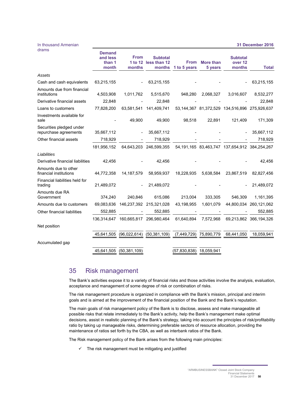| drams                                             | <b>Demand</b><br>and less<br>than 1<br>month | <b>From</b><br>months    | <b>Subtotal</b><br>1 to 12 less than 12<br>months | <b>From</b><br>1 to 5 years | <b>More than</b><br>5 years | <b>Subtotal</b><br>over 12<br>months                  | <b>Total</b>           |
|---------------------------------------------------|----------------------------------------------|--------------------------|---------------------------------------------------|-----------------------------|-----------------------------|-------------------------------------------------------|------------------------|
| Assets                                            |                                              |                          |                                                   |                             |                             |                                                       |                        |
| Cash and cash equivalents                         | 63,215,155                                   | $\overline{\phantom{a}}$ | 63,215,155                                        |                             |                             |                                                       | 63,215,155             |
| Amounts due from financial<br>institutions        | 4,503,908                                    | 1,011,762                | 5,515,670                                         | 948,280                     | 2,068,327                   | 3,016,607                                             | 8,532,277              |
| Derivative financial assets                       | 22,848                                       |                          | 22,848                                            |                             |                             |                                                       | 22,848                 |
| Loans to customers                                | 77,828,200                                   | 63,581,541               | 141.409.741                                       |                             |                             | 53, 144, 367 81, 372, 529 134, 516, 896 275, 926, 637 |                        |
| Investments available for<br>sale                 |                                              | 49,900                   | 49,900                                            | 98,518                      | 22,891                      | 121,409                                               | 171,309                |
| Securities pledged under<br>repurchase agreements | 35,667,112                                   |                          | 35,667,112                                        |                             |                             |                                                       | 35,667,112             |
| Other financial assets                            | 718,929                                      |                          | 718,929                                           |                             |                             |                                                       | 718,929                |
|                                                   | 181,956,152                                  |                          | 64,643,203 246,599,355                            |                             |                             | 54, 191, 165 83, 463, 747 137, 654, 912 384, 254, 267 |                        |
| Liabilities                                       |                                              |                          |                                                   |                             |                             |                                                       |                        |
| Derivative financial liabilities                  | 42,456                                       |                          | 42,456                                            |                             |                             |                                                       | 42,456                 |
| Amounts due to other<br>financial institutions    | 44,772,358                                   | 14, 187, 579             | 58,959,937                                        | 18,228,935                  | 5,638,584                   | 23,867,519                                            | 82,827,456             |
| Financial liabilities held for<br>trading         | 21,489,072                                   | $\overline{\phantom{a}}$ | 21,489,072                                        |                             |                             |                                                       | 21,489,072             |
| Amounts due RA<br>Government                      | 374,240                                      | 240,846                  | 615,086                                           | 213,004                     | 333,305                     | 546,309                                               | 1,161,395              |
| Amounts due to customers                          | 69,083,636                                   |                          | 146,237,392 215,321,028                           | 43,198,955                  | 1,601,079                   |                                                       | 44,800,034 260,121,062 |
| Other financial liabilities                       | 552,885                                      |                          | 552,885                                           |                             |                             |                                                       | 552,885                |
|                                                   | 136,314,647                                  |                          | 160,665,817 296,980,464                           | 61,640,894                  | 7,572,968                   |                                                       | 69,213,862 366,194,326 |
| Net position                                      |                                              |                          |                                                   |                             |                             |                                                       |                        |
|                                                   | 45,641,505                                   | (96,022,614)             | (50, 381, 109)                                    | (7,449,729) 75,890,779      |                             | 68,441,050                                            | 18,059,941             |
| Accumulated gap                                   |                                              |                          |                                                   |                             |                             |                                                       |                        |
|                                                   | 45,641,505                                   | (50, 381, 109)           |                                                   | (57, 830, 838)              | 18,059,941                  |                                                       |                        |

## 35 Risk management

In thousand Armenian

The Bank's activities expose it to a variety of financial risks and those activities involve the analysis, evaluation, acceptance and management of some degree of risk or combination of risks.

The risk management procedure is organized in compliance with the Bank's mission, principal and interim goals and is aimed at the improvement of the financial position of the Bank and the Bank's reputation.

The main goals of risk management policy of the Bank is to disclose, assess and make manageable all possible risks that relate immediately to the Bank's activity, help the Bank's management make optimal decisions, assist in realistic planning of the Bank's strategy, taking into account the principles of risk/profitability ratio by taking up manageable risks, determining preferable sectors of resource allocation, providing the maintenance of ratios set forth by the CBA, as well as interbank ratios of the Bank.

The Risk management policy of the Bank arises from the following main principles:

 $\checkmark$  The risk management must be mitigating and justified

**31 December 2016**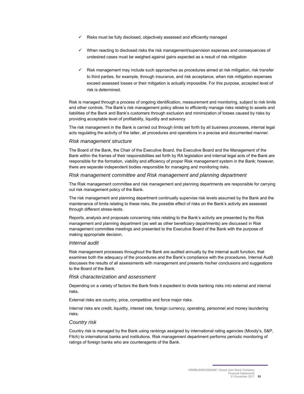- $\checkmark$  Risks must be fully disclosed, objectively assessed and efficiently managed
- $\checkmark$  When reacting to disclosed risks the risk management/supervision expenses and consequences of undesired cases must be weighed against gains expected as a result of risk mitigation
- $\checkmark$  Risk management may include such approaches as procedures aimed at risk mitigation, risk transfer to third parties, for example, through insurance, and risk acceptance, when risk mitigation expenses exceed assessed losses or their mitigation is actually impossible. For this purpose, accepted level of risk is determined.

Risk is managed through a process of ongoing identification, measurement and monitoring, subject to risk limits and other controls. The Bank's risk management policy allows to efficiently manage risks relating to assets and liabilities of the Bank and Bank's customers through exclusion and minimization of losses caused by risks by providing acceptable level of profitability, liquidity and solvency

The risk management in the Bank is carried out through limits set forth by all business processes, internal legal acts regulating the activity of the latter, all procedures and operations in a precise and documented manner.

#### *Risk management structure*

The Board of the Bank, the Chair of the Executive Board, the Executive Board and the Management of the Bank within the frames of their responsibilities set forth by RA legislation and internal legal acts of the Bank are responsible for the formation, viability and efficiency of proper Risk management system in the Bank; however, there are separate independent bodies responsible for managing and monitoring risks.

#### *Risk management committee and Risk management and planning department*

The Risk management committee and risk management and planning departments are responsible for carrying out risk management policy of the Bank.

The risk management and planning department continually supervise risk levels assumed by the Bank and the maintenance of limits relating to these risks, the possible effect of risks on the Bank's activity are assessed through different stress-tests.

Reports, analysis and proposals concerning risks relating to the Bank's activity are presented by the Risk management and planning department (as well as other beneficiary departments) are discussed in Risk management committee meetings and presented to the Executive Board of the Bank with the purpose of making appropriate decision.

#### *Internal audit*

Risk management processes throughout the Bank are audited annually by the internal audit function, that examines both the adequacy of the procedures and the Bank's compliance with the procedures. Internal Audit discusses the results of all assessments with management and presents his/her conclusions and suggestions to the Board of the Bank.

#### *Risk characterization and assessment*

Depending on a variety of factors the Bank finds it expedient to divide banking risks into external and internal risks.

External risks are country, price, competitive and force major risks.

Internal risks are credit, liquidity, interest rate, foreign currency, operating, personnel and money laundering risks.

#### *Country risk*

Country risk is managed by the Bank using rankings assigned by international rating agencies (Moody's, S&P, Fitch) to international banks and institutions. Risk management department performs periodic monitoring of ratings of foreign banks who are counteragents of the Bank.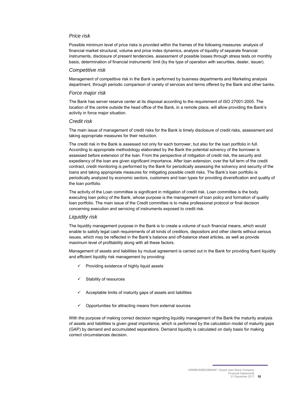## *Price risk*

Possible minimum level of price risks is provided within the frames of the following measures: analysis of financial market structural, volume and price index dynamics, analysis of liquidity of separate financial instruments, disclosure of present tendencies, assessment of possible losses through stress tests on monthly basis, determination of financial instruments' limit (by the type of operation with securities, dealer, issuer).

#### *Competitive risk*

Management of competitive risk in the Bank is performed by business departments and Marketing analysis department, through periodic comparison of variety of services and terms offered by the Bank and other banks.

#### *Force major risk*

The Bank has server reserve center at its disposal according to the requirement of ISO 27001-2005. The location of the centre outside the head office of the Bank, in a remote place, will allow providing the Bank's activity in force major situation.

#### *Credit risk*

The main issue of management of credit risks for the Bank is timely disclosure of credit risks, assessment and taking appropriate measures for their reduction.

The credit risk in the Bank is assessed not only for each borrower, but also for the loan portfolio in full. According to appropriate methodology elaborated by the Bank the potential solvency of the borrower is assessed before extension of the loan. From the perspective of mitigation of credit risk, the security and expediency of the loan are given significant importance. After loan extension, over the full term of the credit contract, credit monitoring is performed by the Bank for periodically assessing the solvency and security of the loans and taking appropriate measures for mitigating possible credit risks. The Bank's loan portfolio is periodically analyzed by economic sectors, customers and loan types for providing diversification and quality of the loan portfolio.

The activity of the Loan committee is significant in mitigation of credit risk. Loan committee is the body executing loan policy of the Bank, whose purpose is the management of loan policy and formation of quality loan portfolio. The main issue of the Credit committee is to make professional protocol or final decision concerning execution and servicing of instruments exposed to credit risk.

#### *Liquidity risk*

The liquidity management purpose in the Bank is to create a volume of such financial means, which would enable to satisfy legal cash requirements of all kinds of creditors, depositors and other clients without serious issues, which may be reflected in the Bank's balance and off-balance sheet articles, as well as provide maximum level of profitability along with all these factors.

Management of assets and liabilities by mutual agreement is carried out in the Bank for providing fluent liquidity and efficient liquidity risk management by providing:

- $\checkmark$  Providing existence of highly liquid assets
- Stability of resources
- Acceptable limits of maturity gaps of assets and liabilities
- $\checkmark$  Opportunities for attracting means from external sources

With the purpose of making correct decision regarding liquidity management of the Bank the maturity analysis of assets and liabilities is given great importance, which is performed by the calculation model of maturity gaps (GAP) by demand and accumulated separations. Demand liquidity is calculated on daily basis for making correct circumstances decision.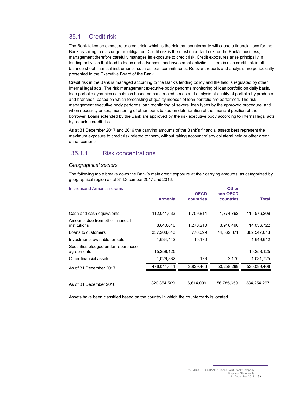## 35.1 Credit risk

The Bank takes on exposure to credit risk, which is the risk that counterparty will cause a financial loss for the Bank by failing to discharge an obligation. Credit risk is the most important risk for the Bank's business; management therefore carefully manages its exposure to credit risk. Credit exposures arise principally in lending activities that lead to loans and advances, and investment activities. There is also credit risk in offbalance sheet financial instruments, such as loan commitments. Relevant reports and analysis are periodically presented to the Executive Board of the Bank.

Credit risk in the Bank is managed according to the Bank's lending policy and the field is regulated by other internal legal acts. The risk management executive body performs monitoring of loan portfolio on daily basis, loan portfolio dynamics calculation based on constructed series and analysis of quality of portfolio by products and branches, based on which forecasting of quality indexes of loan portfolio are performed. The risk management executive body performs loan monitoring of several loan types by the approved procedure, and when necessity arises, monitoring of other loans based on deterioration of the financial position of the borrower. Loans extended by the Bank are approved by the risk executive body according to internal legal acts by reducing credit risk.

As at 31 December 2017 and 2016 the carrying amounts of the Bank's financial assets best represent the maximum exposure to credit risk related to them, without taking account of any collateral held or other credit enhancements.

## 35.1.1 Risk concentrations

#### *Geographical sectors*

The following table breaks down the Bank's main credit exposure at their carrying amounts, as categorized by geographical region as of 31 December 2017 and 2016.

| In thousand Armenian drams          | <b>Other</b>   |             |            |             |  |  |  |
|-------------------------------------|----------------|-------------|------------|-------------|--|--|--|
|                                     |                | <b>OECD</b> | non-OECD   |             |  |  |  |
|                                     | <b>Armenia</b> | countries   | countries  | Total       |  |  |  |
|                                     |                |             |            |             |  |  |  |
| Cash and cash equivalents           | 112,041,633    | 1.759.814   | 1,774,762  | 115,576,209 |  |  |  |
| Amounts due from other financial    |                |             |            |             |  |  |  |
| institutions                        | 8,840,016      | 1,278,210   | 3,918,496  | 14,036,722  |  |  |  |
| Loans to customers                  | 337,208,043    | 776,099     | 44,562,871 | 382,547,013 |  |  |  |
| Investments available for sale      | 1,634,442      | 15,170      |            | 1,649,612   |  |  |  |
| Securities pledged under repurchase |                |             |            |             |  |  |  |
| agreements                          | 15,258,125     |             |            | 15,258,125  |  |  |  |
| Other financial assets              | 1,029,382      | 173         | 2,170      | 1,031,725   |  |  |  |
| As of 31 December 2017              | 476,011,641    | 3,829,466   | 50,258,299 | 530,099,406 |  |  |  |
|                                     |                |             |            |             |  |  |  |
| As of 31 December 2016              | 320,854,509    | 6,614,099   | 56,785,659 | 384,254,267 |  |  |  |
|                                     |                |             |            |             |  |  |  |

Assets have been classified based on the country in which the counterparty is located.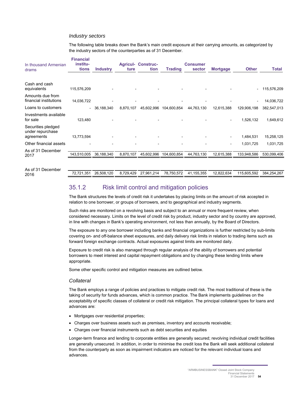#### *Industry sectors*

The following table breaks down the Bank's main credit exposure at their carrying amounts, as categorized by the industry sectors of the counterparties as of 31 December.

| In thousand Armenian<br>drams                        | <b>Financial</b><br>institu-<br>tions | <b>Industry</b> | ture      | <b>Agricul- Construc-</b><br>tion | <b>Trading</b> | <b>Consumer</b><br>sector | <b>Mortgage</b> | <b>Other</b>             | Total       |
|------------------------------------------------------|---------------------------------------|-----------------|-----------|-----------------------------------|----------------|---------------------------|-----------------|--------------------------|-------------|
| Cash and cash<br>equivalents                         | 115,576,209                           |                 |           |                                   |                |                           |                 | $\overline{\phantom{0}}$ | 115,576,209 |
| Amounts due from<br>financial institutions           | 14,036,722                            |                 |           |                                   |                |                           |                 |                          | 14,036,722  |
| Loans to customers                                   |                                       | $-36,188,340$   | 8,870,107 | 45,602,996                        | 104,600,854    | 44,763,130                | 12,615,388      | 129,906,198              | 382,547,013 |
| Investments available<br>for sale                    | 123,480                               |                 |           |                                   |                |                           |                 | 1,526,132                | 1,649,612   |
| Securities pledged<br>under repurchase<br>agreements | 13,773,594                            |                 |           |                                   |                |                           |                 | 1,484,531                | 15,258,125  |
| Other financial assets                               |                                       |                 |           |                                   |                |                           | ٠               | 1,031,725                | 1,031,725   |
| As of 31 December<br>2017                            | 143,510,005                           | 36,188,340      | 8,870,107 | 45,602,996                        | 104,600,854    | 44,763,130                | 12,615,388      | 133,948,586              | 530,099,406 |

As of 31 December

2016 72,721,351 26,508,120 8,729,429 27,961,214 78,750,572 41,155,355 12,822,634 115,605,592 384,254,267

## 35.1.2 Risk limit control and mitigation policies

The Bank structures the levels of credit risk it undertakes by placing limits on the amount of risk accepted in relation to one borrower, or groups of borrowers, and to geographical and industry segments.

Such risks are monitored on a revolving basis and subject to an annual or more frequent review, when considered necessary. Limits on the level of credit risk by product, industry sector and by country are approved, in line with changes in Bank's operating environment, not less than annually, by the Board of Directors.

The exposure to any one borrower including banks and financial organizations is further restricted by sub-limits covering on- and off-balance sheet exposures, and daily delivery risk limits in relation to trading items such as forward foreign exchange contracts. Actual exposures against limits are monitored daily.

Exposure to credit risk is also managed through regular analysis of the ability of borrowers and potential borrowers to meet interest and capital repayment obligations and by changing these lending limits where appropriate.

Some other specific control and mitigation measures are outlined below.

#### *Collateral*

The Bank employs a range of policies and practices to mitigate credit risk. The most traditional of these is the taking of security for funds advances, which is common practice. The Bank implements guidelines on the acceptability of specific classes of collateral or credit risk mitigation. The principal collateral types for loans and advances are:

- Mortgages over residential properties;
- Charges over business assets such as premises, inventory and accounts receivable;
- Charges over financial instruments such as debt securities and equities

Longer-term finance and lending to corporate entities are generally secured; revolving individual credit facilities are generally unsecured. In addition, in order to minimise the credit loss the Bank will seek additional collateral from the counterparty as soon as impairment indicators are noticed for the relevant individual loans and advances.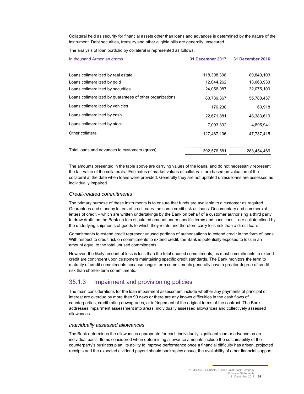Collateral held as security for financial assets other than loans and advances is determined by the nature of the instrument. Debt securities, treasury and other eligible bills are generally unsecured.

The analysis of loan portfolio by collateral is represented as follows:

| In thousand Armenian drams                                | 31 December 2017 | <b>31 December 2016</b> |
|-----------------------------------------------------------|------------------|-------------------------|
| Loans collateralized by real estate                       | 118,308,308      | 80,849,103              |
| Loans collateralized by gold                              | 12,044,262       | 13,663,933              |
| Loans collateralized by securities                        | 24,056,087       | 32,075,100              |
| Loans collateralized by guarantees of other organizations | 80,739,367       | 55,788,437              |
| Loans collateralized by vehicles                          | 176,238          | 60,918                  |
| Loans collateralized by cash                              | 22,671,881       | 48,383,619              |
| Loans collateralized by stock                             | 7,093,332        | 4,895,941               |
| Other collateral                                          | 127.487.106      | 47.737.415              |
| Total loans and advances to customers (gross)             | 392,576,581      | 283,454,466             |

The amounts presented in the table above are carrying values of the loans, and do not necessarily represent the fair value of the collaterals. Estimates of market values of collaterals are based on valuation of the collateral at the date when loans were provided. Generally they are not updated unless loans are assessed as individually impaired.

#### *Credit-related commitments*

The primary purpose of these instruments is to ensure that funds are available to a customer as required. Guarantees and standby letters of credit carry the same credit risk as loans. Documentary and commercial letters of credit – which are written undertakings by the Bank on behalf of a customer authorising a third party to draw drafts on the Bank up to a stipulated amount under specific terms and conditions – are collateralised by the underlying shipments of goods to which they relate and therefore carry less risk than a direct loan.

Commitments to extend credit represent unused portions of authorisations to extend credit in the form of loans. With respect to credit risk on commitments to extend credit, the Bank is potentially exposed to loss in an amount equal to the total unused commitments.

However, the likely amount of loss is less than the total unused commitments, as most commitments to extend credit are contingent upon customers maintaining specific credit standards. The Bank monitors the term to maturity of credit commitments because longer-term commitments generally have a greater degree of credit risk than shorter-term commitments.

## 35.1.3 Impairment and provisioning policies

The main considerations for the loan impairment assessment include whether any payments of principal or interest are overdue by more than 90 days or there are any known difficulties in the cash flows of counterparties, credit rating downgrades, or infringement of the original terms of the contract. The Bank addresses impairment assessment into areas: individually assessed allowances and collectively assessed allowances.

#### *Individually assessed allowances*

The Bank determines the allowances appropriate for each individually significant loan or advance on an individual basis. Items considered when determining allowance amounts include the sustainability of the counterparty's business plan, its ability to improve performance once a financial difficulty has arisen, projected receipts and the expected dividend payout should bankruptcy ensue, the availability of other financial support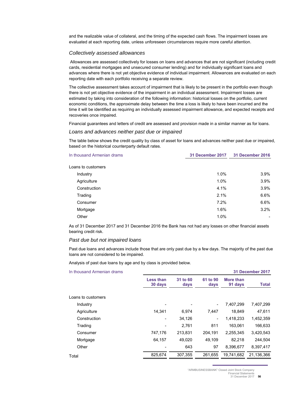and the realizable value of collateral, and the timing of the expected cash flows. The impairment losses are evaluated at each reporting date, unless unforeseen circumstances require more careful attention.

#### *Collectively assessed allowances*

 Allowances are assessed collectively for losses on loans and advances that are not significant (including credit cards, residential mortgages and unsecured consumer lending) and for individually significant loans and advances where there is not yet objective evidence of individual impairment. Allowances are evaluated on each reporting date with each portfolio receiving a separate review.

The collective assessment takes account of impairment that is likely to be present in the portfolio even though there is not yet objective evidence of the impairment in an individual assessment. Impairment losses are estimated by taking into consideration of the following information: historical losses on the portfolio, current economic conditions, the approximate delay between the time a loss is likely to have been incurred and the time it will be identified as requiring an individually assessed impairment allowance, and expected receipts and recoveries once impaired.

Financial guarantees and letters of credit are assessed and provision made in a similar manner as for loans.

#### *Loans and advances neither past due or impaired*

The table below shows the credit quality by class of asset for loans and advances neither past due or impaired, based on the historical counterparty default rates.

| In thousand Armenian drams | 31 December 2017 | 31 December 2016 |
|----------------------------|------------------|------------------|
| Loans to customers         |                  |                  |
| Industry                   | 1.0%             | 3.9%             |
| Agriculture                | 1.0%             | 3.9%             |
| Construction               | 4.1%             | 3.9%             |
| Trading                    | 2.1%             | 6.6%             |
| Consumer                   | 7.2%             | 6.6%             |
| Mortgage                   | 1.6%             | 3.2%             |
| Other                      | 1.0%             |                  |
|                            |                  |                  |

As of 31 December 2017 and 31 December 2016 the Bank has not had any losses on other financial assets bearing credit risk.

#### *Past due but not impaired loans*

Past due loans and advances include those that are only past due by a few days. The majority of the past due loans are not considered to be impaired.

Analysis of past due loans by age and by class is provided below.

| In thousand Armenian drams |                             |                  |                  |                      | 31 December 2017 |
|----------------------------|-----------------------------|------------------|------------------|----------------------|------------------|
|                            | <b>Less than</b><br>30 days | 31 to 60<br>days | 61 to 90<br>days | More than<br>91 days | Total            |
| Loans to customers         |                             |                  |                  |                      |                  |
| Industry                   |                             |                  | -                | 7,407,299            | 7,407,299        |
| Agriculture                | 14,341                      | 6.974            | 7.447            | 18,849               | 47,611           |
| Construction               |                             | 34,126           | ۰                | 1,418,233            | 1,452,359        |
| Trading                    |                             | 2,761            | 811              | 163,061              | 166,633          |
| Consumer                   | 747,176                     | 213,831          | 204,191          | 2,255,345            | 3,420,543        |
| Mortgage                   | 64,157                      | 49,020           | 49,109           | 82,218               | 244,504          |
| Other                      |                             | 643              | 97               | 8.396.677            | 8.397.417        |
| Total                      | 825,674                     | 307,355          | 261,655          | 19,741,682           | 21,136,366       |

"ARMBUSINESSBANK" Closed Joint Stock Company

Financial Statements 31 December 2017 **56**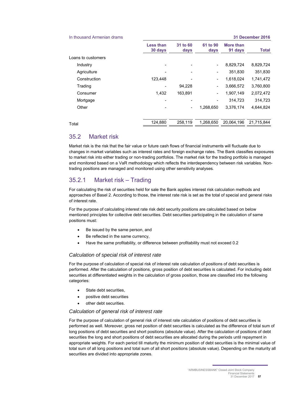| In thousand Armenian drams |                             |                  |                          |                      | <b>31 December 2016</b> |
|----------------------------|-----------------------------|------------------|--------------------------|----------------------|-------------------------|
|                            | <b>Less than</b><br>30 days | 31 to 60<br>days | 61 to 90<br>days         | More than<br>91 days | <b>Total</b>            |
| Loans to customers         |                             |                  |                          |                      |                         |
| Industry                   |                             |                  |                          | 8,829,724            | 8,829,724               |
| Agriculture                |                             |                  |                          | 351,830              | 351,830                 |
| Construction               | 123.448                     |                  | -                        | 1,618,024            | 1,741,472               |
| Trading                    |                             | 94,228           | $\overline{\phantom{a}}$ | 3,666,572            | 3,760,800               |
| Consumer                   | 1,432                       | 163,891          | $\overline{\phantom{a}}$ | 1,907,149            | 2,072,472               |
| Mortgage                   |                             |                  |                          | 314.723              | 314.723                 |
| Other                      |                             |                  | 1,268,650                | 3,376,174            | 4,644,824               |
| Total                      | 124,880                     | 258,119          | 1,268,650                | 20.064.196           | 21,715,844              |

## 35.2 Market risk

Market risk is the risk that the fair value or future cash flows of financial instruments will fluctuate due to changes in market variables such as interest rates and foreign exchange rates. The Bank classifies exposures to market risk into either trading or non-trading portfolios. The market risk for the trading portfolio is managed and monitored based on a VaR methodology which reflects the interdependency between risk variables. Nontrading positions are managed and monitored using other sensitivity analyses*.* 

## 35.2.1 Market risk – Trading

For calculating the risk of securities held for sale the Bank applies interest risk calculation methods and approaches of Basel 2. According to those, the interest rate risk is set as the total of special and general risks of interest rate.

For the purpose of calculating interest rate risk debt security positions are calculated based on below mentioned principles for collective debt securities. Debt securities participating in the calculation of same positions must:

- Be issued by the same person, and
- Be reflected in the same currency,
- Have the same profitability, or difference between profitability must not exceed 0.2

## *Calculation of special risk of interest rate*

For the purpose of calculation of special risk of interest rate calculation of positions of debt securities is performed. After the calculation of positions, gross position of debt securities is calculated. For including debt securities at differentiated weights in the calculation of gross position, those are classified into the following categories:

- State debt securities,
- positive debt securities
- other debt securities.

## *Calculation of general risk of interest rate*

For the purpose of calculation of general risk of interest rate calculation of positions of debt securities is performed as well. Moreover, gross net position of debt securities is calculated as the difference of total sum of long positions of debt securities and short positions (absolute value). After the calculation of positions of debt securities the long and short positions of debt securities are allocated during the periods until repayment in appropriate weights. For each period till maturity the minimum position of debt securities is the minimal value of total sum of all long positions and total sum of all short positions (absolute value). Depending on the maturity all securities are divided into appropriate zones.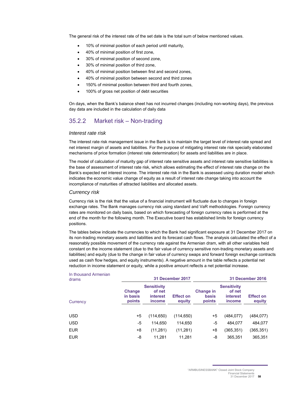The general risk of the interest rate of the set date is the total sum of below mentioned values.

- 10% of minimal position of each period until maturity,
- 40% of minimal position of first zone,
- 30% of minimal position of second zone,
- 30% of minimal position of third zone,
- 40% of minimal position between first and second zones,
- 40% of minimal position between second and third zones
- 150% of minimal position between third and fourth zones,
- 100% of gross net position of debt securities

On days, when the Bank's balance sheet has not incurred changes (including non-working days), the previous day data are included in the calculation of daily data

## 35.2.2 Market risk – Non-trading

#### *Interest rate risk*

The interest rate risk management issue in the Bank is to maintain the target level of interest rate spread and net interest margin of assets and liabilities. For the purpose of mitigating interest rate risk specially elaborated mechanisms of price formation (interest rate determination) for assets and liabilities are in place.

The model of calculation of maturity gap of interest rate sensitive assets and interest rate sensitive liabilities is the base of assessment of interest rate risk, which allows estimating the effect of interest rate change on the Bank's expected net interest income. The interest rate risk in the Bank is assessed using duration model which indicates the economic value change of equity as a result of interest rate change taking into account the incompliance of maturities of attracted liabilities and allocated assets.

#### *Currency risk*

Currency risk is the risk that the value of a financial instrument will fluctuate due to changes in foreign exchange rates. The Bank manages currency risk using standard and VaR methodologies. Foreign currency rates are monitored on daily basis, based on which forecasting of foreign currency rates is performed at the end of the month for the following month. The Executive board has established limits for foreign currency positions.

The tables below indicate the currencies to which the Bank had significant exposure at 31 December 2017 on its non-trading monetary assets and liabilities and its forecast cash flows. The analysis calculated the effect of a reasonably possible movement of the currency rate against the Armenian dram, with all other variables held constant on the income statement (due to the fair value of currency sensitive non-trading monetary assets and liabilities) and equity (due to the change in fair value of currency swaps and forward foreign exchange contracts used as cash flow hedges, and equity instruments). A negative amount in the table reflects a potential net reduction in income statement or equity, while a positive amount reflects a net potential increase.

| In thousand Armenian<br>drams |                                     | 31 December 2017                                   |                            |                                     |                                                    | <b>31 December 2016</b>    |  |
|-------------------------------|-------------------------------------|----------------------------------------------------|----------------------------|-------------------------------------|----------------------------------------------------|----------------------------|--|
| Currency                      | <b>Change</b><br>in basis<br>points | <b>Sensitivity</b><br>of net<br>interest<br>income | <b>Effect on</b><br>equity | <b>Change in</b><br>basis<br>points | <b>Sensitivity</b><br>of net<br>interest<br>income | <b>Effect on</b><br>equity |  |
| <b>USD</b>                    | $+5$                                | (114, 650)                                         | (114, 650)                 | $+5$                                | (484, 077)                                         | (484, 077)                 |  |
| <b>USD</b>                    | -5                                  | 114.650                                            | 114,650                    | -5                                  | 484,077                                            | 484,077                    |  |
| <b>EUR</b>                    | +8                                  | (11, 281)                                          | (11, 281)                  | +8                                  | (365,351)                                          | (365, 351)                 |  |
| <b>EUR</b>                    | -8                                  | 11,281                                             | 11,281                     | -8                                  | 365,351                                            | 365,351                    |  |
|                               |                                     |                                                    |                            |                                     |                                                    |                            |  |

<sup>&</sup>quot;ARMBUSINESSBANK" Closed Joint Stock Company **Financial Statement**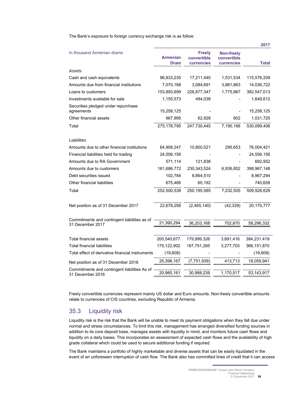The Bank's exposure to foreign currency exchange risk is as follow:

|                                                                  |                                |                                                   |                                                | 2017          |
|------------------------------------------------------------------|--------------------------------|---------------------------------------------------|------------------------------------------------|---------------|
| In thousand Armenian drams                                       | <b>Armenian</b><br><b>Dram</b> | <b>Freely</b><br>convertible<br><b>currencies</b> | <b>Non-freely</b><br>convertible<br>currencies | Total         |
| Assets                                                           |                                |                                                   |                                                |               |
| Cash and cash equivalents                                        | 96,833,235                     | 17,211,440                                        | 1,531,534                                      | 115,576,209   |
| Amounts due from financial institutions                          | 7,070,168                      | 3,084,691                                         | 3,881,863                                      | 14,036,722    |
| Loans to customers                                               | 153,893,699                    | 226,877,347                                       | 1,775,967                                      | 382,547,013   |
| Investments available for sale                                   | 1,155,573                      | 494,039                                           |                                                | 1,649,612     |
| Securities pledged under repurchase<br>agreements                | 15,258,125                     |                                                   |                                                | 15,258,125    |
| Other financial assets                                           | 967,995                        | 62,928                                            | 802                                            | 1,031,725     |
| Total                                                            | 275, 178, 795                  | 247,730,445                                       | 7,190,166                                      | 530,099,406   |
| Liabilities                                                      |                                |                                                   |                                                |               |
| Amounts due to other financial institutions                      | 64,908,247                     | 10,800,521                                        | 295,653                                        | 76,004,421    |
| Financial liabilities held for trading                           | 24,556,156                     |                                                   |                                                | 24,556,156    |
| Amounts due to RA Government                                     | 571,114                        | 121,838                                           |                                                | 692,952       |
| Amounts due to customers                                         | 161,686,772                    | 230, 343, 524                                     | 6,936,852                                      | 398,967,148   |
| Debt securities issued                                           | 102,784                        | 8,864,510                                         |                                                | 8,967,294     |
| Other financial liabilities                                      | 675,466                        | 65,192                                            |                                                | 740,658       |
| Total                                                            | 252,500,539                    | 250,195,585                                       | 7,232,505                                      | 509,928,629   |
| Net position as of 31 December 2017                              | 22,678,256                     | (2,465,140)                                       | (42, 339)                                      | 20,170,777    |
| Commitments and contingent liabilities as of<br>31 December 2017 | 21,390,294                     | 36,203,168                                        | 702,870                                        | 58,296,332    |
|                                                                  |                                |                                                   |                                                |               |
| <b>Total financial assets</b>                                    | 200,540,677                    | 179,999,326                                       | 3,691,416                                      | 384,231,419   |
| <b>Total financial liabilities</b>                               | 175,122,902                    | 187,751,265                                       | 3,277,703                                      | 366, 151, 870 |
| Total effect of derivative financial instruments                 | (19,608)                       |                                                   |                                                | (19,608)      |
| Net position as of 31 December 2016                              | 25,398,167                     | (7, 751, 939)                                     | 413,713                                        | 18,059,941    |
| Commitments and contingent liabilities As of<br>31 December 2016 | 20,985,161                     | 30,988,239                                        | 1,170,517                                      | 53,143,917    |

Freely convertible currencies represent mainly US dollar and Euro amounts. Non-freely convertible amounts relate to currencies of CIS countries, excluding Republic of Armenia.

## 35.3 Liquidity risk

Liquidity risk is the risk that the Bank will be unable to meet its payment obligations when they fall due under normal and stress circumstances. To limit this risk, management has arranged diversified funding sources in addition to its core deposit base, manages assets with liquidity in mind, and monitors future cash flows and liquidity on a daily bases. This incorporates an assessment of expected cash flows and the availability of high grade collateral which could be used to secure additional funding if required.

The Bank maintains a portfolio of highly marketable and diverse assets that can be easily liquidated in the event of an unforeseen interruption of cash flow. The Bank also has committed lines of credit that it can access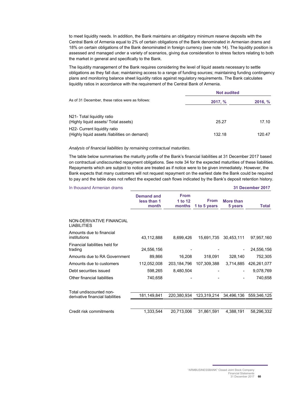to meet liquidity needs. In addition, the Bank maintains an obligatory minimum reserve deposits with the Central Bank of Armenia equal to 2% of certain obligations of the Bank denominated in Armenian drams and 18% on certain obligations of the Bank denominated in foreign currency (see note 14). The liquidity position is assessed and managed under a variety of scenarios, giving due consideration to stress factors relating to both the market in general and specifically to the Bank.

The liquidity management of the Bank requires considering the level of liquid assets necessary to settle obligations as they fall due; maintaining access to a range of funding sources; maintaining funding contingency plans and monitoring balance sheet liquidity ratios against regulatory requirements. The Bank calculates liquidity ratios in accordance with the requirement of the Central Bank of Armenia.

|                                                                                            | <b>Not audited</b> |         |
|--------------------------------------------------------------------------------------------|--------------------|---------|
| As of 31 December, these ratios were as follows:                                           | 2017, %            | 2016, % |
| N21- Total liquidity ratio<br>(Highly liquid assets/ Total assets)                         | 25.27              | 17.10   |
| H <sub>22</sub> - Current liquidity ratio<br>(Highly liquid assets /liabilities on demand) | 132.18             | 120.47  |

#### *Analysis of financial liabilities by remaining contractual maturities.*

The table below summarises the maturity profile of the Bank's financial liabilities at 31 December 2017 based on contractual undiscounted repayment obligations. See note 34 for the expected maturities of these liabilities. Repayments which are subject to notice are treated as if notice were to be given immediately. However, the Bank expects that many customers will not request repayment on the earliest date the Bank could be required to pay and the table does not reflect the expected cash flows indicated by the Bank's deposit retention history.

| In thousand Armenian drams                     |                                           |                                  |                             |                      | 31 December 2017 |
|------------------------------------------------|-------------------------------------------|----------------------------------|-----------------------------|----------------------|------------------|
|                                                | <b>Demand and</b><br>less than 1<br>month | <b>From</b><br>1 to 12<br>months | <b>From</b><br>1 to 5 years | More than<br>5 years | Total            |
| NON-DERIVATIVE FINANCIAL<br><b>LIABILITIES</b> |                                           |                                  |                             |                      |                  |
| Amounts due to financial<br>institutions       | 43,112,888                                | 8,699,426                        | 15,691,735                  | 30,453,111           | 97,957,160       |
| Financial liabilities held for<br>trading      | 24,556,156                                |                                  |                             |                      | 24,556,156       |
| Amounts due to RA Government                   | 89,866                                    | 16,208                           | 318,091                     | 328,140              | 752,305          |
| Amounts due to customers                       | 112,052,008                               | 203,184,796                      | 107,309,388                 | 3,714,885            | 426,261,077      |
| Debt securities issued                         | 598,265                                   | 8,480,504                        |                             |                      | 9,078,769        |
| Other financial liabilities                    | 740,658                                   |                                  |                             |                      | 740,658          |
| Total undiscounted non-                        |                                           |                                  |                             |                      |                  |
| derivative financial liabilities               | 181,149,841                               | 220,380,934                      | 123,319,214 34,496,136      |                      | 559,346,125      |
|                                                |                                           |                                  |                             |                      |                  |
| Credit risk commitments                        | 1,333,544                                 | 20,713,006                       | 31,861,591                  | 4,388,191            | 58,296,332       |

"ARMBUSINESSBANK" Closed Joint Stock Company Financial Statements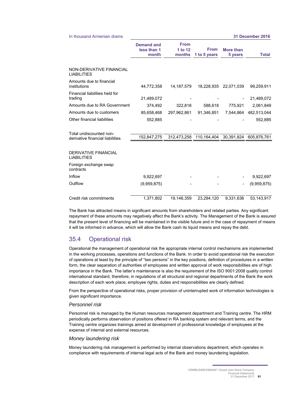#### In thousand Armenian drams **31 December 2016**

|                                            | <b>Demand and</b><br>less than 1<br>month | <b>From</b><br>1 to 12<br>months | <b>From</b><br>1 to 5 years | <b>More than</b><br>5 years | <b>Total</b> |
|--------------------------------------------|-------------------------------------------|----------------------------------|-----------------------------|-----------------------------|--------------|
| NON-DERIVATIVE FINANCIAL                   |                                           |                                  |                             |                             |              |
| LIABILITIES                                |                                           |                                  |                             |                             |              |
| Amounts due to financial<br>institutions   | 44.772.358                                | 14.187.579                       | 18,228,935                  | 22,071,039                  | 99,259,911   |
| Financial liabilities held for<br>trading  | 21,489,072                                |                                  |                             |                             | 21,489,072   |
| Amounts due to RA Government               | 374,492                                   | 322,818                          | 588,618                     | 775,921                     | 2,061,849    |
| Amounts due to customers                   | 85,658,468                                | 297,962,861                      | 91,346,851                  | 7,544,864                   | 482,513,044  |
| Other financial liabilities                | 552,885                                   |                                  |                             |                             | 552,885      |
| Total undiscounted non-                    |                                           |                                  |                             |                             |              |
| derivative financial liabilities           | 152,847,275                               | 312,473,258                      | 110,164,404                 | 30,391,824                  | 605.876.761  |
| <b>DERIVATIVE FINANCIAL</b><br>LIABILITIES |                                           |                                  |                             |                             |              |
| Foreign exchange swap<br>contracts         |                                           |                                  |                             |                             |              |
| Inflow                                     | 9,922,697                                 |                                  |                             |                             | 9,922,697    |
| Outflow                                    | (9,959,875)                               |                                  |                             |                             | (9,959,875)  |
| Credit risk commitments                    | 1,371,802                                 | 19.146.359                       | 23,294,120                  | 9.331.636                   | 53,143,917   |

The Bank has attracted means in significant amounts from shareholders and related parties. Any significant repayment of these amounts may negatively affect the Bank's activity. The Management of the Bank is assured that the present level of financing will be maintained in the visible future and in the case of repayment of means it will be informed in advance, which will allow the Bank cash its liquid means and repay the debt.

## 35.4 Operational risk

Operational the management of operational risk the appropriate internal control mechanisms are implemented in the working processes, operations and functions of the Bank. In order to avoid operational risk the execution of operations at least by the principle of "two persons" in the key positions, definition of procedures in a written form, the clear separation of authorities of employees and written approval of work responsibilities are of high importance in the Bank. The latter's maintenance is also the requirement of the ISO 9001:2008 quality control international standard, therefore, in regulations of all structural and regional departments of the Bank the work description of each work place, employee rights, duties and responsibilities are clearly defined.

From the perspective of operational risks, proper provision of uninterrupted work of information technologies is given significant importance.

#### *Personnel risk*

Personnel risk is managed by the Human resources management department and Training centre. The HRM periodically performs observation of positions offered in RA banking system and relevant terms, and the Training centre organizes trainings aimed at development of professional knowledge of employees at the expense of internal and external resources.

#### *Money laundering risk*

Money laundering risk management is performed by internal observations department, which operates in compliance with requirements of internal legal acts of the Bank and money laundering legislation.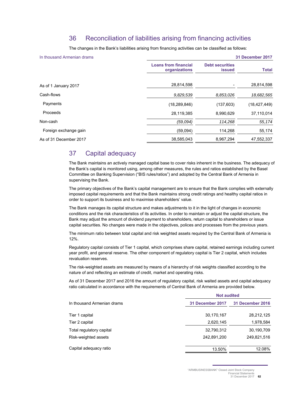## 36 Reconciliation of liabilities arising from financing activities

The changes in the Bank's liabilities arising from financing activities can be classified as follows:

| In thousand Armenian drams |                                              | 31 December 2017                        |                |  |  |  |  |
|----------------------------|----------------------------------------------|-----------------------------------------|----------------|--|--|--|--|
|                            | <b>Loans from financial</b><br>organizations | <b>Debt securities</b><br><b>issued</b> | <b>Total</b>   |  |  |  |  |
| As of 1 January 2017       | 28,814,598                                   |                                         | 28,814,598     |  |  |  |  |
| Cash-flows                 | 9,829,539                                    | 8,853,026                               | 18,682,565     |  |  |  |  |
| Payments                   | (18, 289, 846)                               | (137, 603)                              | (18, 427, 449) |  |  |  |  |
| Proceeds                   | 28,119,385                                   | 8,990,629                               | 37,110,014     |  |  |  |  |
| Non-cash                   | (59,094)                                     | 114,268                                 | 55,174         |  |  |  |  |
| Foreign exchange gain      | (59,094)                                     | 114,268                                 | 55,174         |  |  |  |  |
| As of 31 December 2017     | 38,585,043                                   | 8,967,294                               | 47,552,337     |  |  |  |  |

## 37 Capital adequacy

The Bank maintains an actively managed capital base to cover risks inherent in the business. The adequacy of the Bank's capital is monitored using, among other measures, the rules and ratios established by the Basel Committee on Banking Supervision ("BIS rules/ratios") and adopted by the Central Bank of Armenia in supervising the Bank.

The primary objectives of the Bank's capital management are to ensure that the Bank complies with externally imposed capital requirements and that the Bank maintains strong credit ratings and healthy capital ratios in order to support its business and to maximise shareholders' value.

The Bank manages its capital structure and makes adjustments to it in the light of changes in economic conditions and the risk characteristics of its activities. In order to maintain or adjust the capital structure, the Bank may adjust the amount of dividend payment to shareholders, return capital to shareholders or issue capital securities. No changes were made in the objectives, polices and processes from the previous years.

The minimum ratio between total capital and risk weighted assets required by the Central Bank of Armenia is 12%.

Regulatory capital consists of Tier 1 capital, which comprises share capital, retained earnings including current year profit, and general reserve. The other component of regulatory capital is Tier 2 capital, which includes revaluation reserves.

The risk-weighted assets are measured by means of a hierarchy of risk weights classified according to the nature of and reflecting an estimate of credit, market and operating risks.

As of 31 December 2017 and 2016 the amount of regulatory capital, risk waited assets and capital adequacy ratio calculated in accordance with the requirements of Central Bank of Armenia are provided below.

|                            | <b>Not audited</b> |                  |  |  |
|----------------------------|--------------------|------------------|--|--|
| In thousand Armenian drams | 31 December 2017   | 31 December 2016 |  |  |
| Tier 1 capital             | 30,170,167         | 28,212,125       |  |  |
| Tier 2 capital             | 2,620,145          | 1,978,584        |  |  |
| Total regulatory capital   | 32,790,312         | 30,190,709       |  |  |
| Risk-weighted assets       | 242,891,200        | 249,821,516      |  |  |
| Capital adequacy ratio     | 13.50%             | 12.08%           |  |  |

"ARMBUSINESSBANK" Closed Joint Stock Company Financial Statements

<sup>31</sup> December 2017 **62**